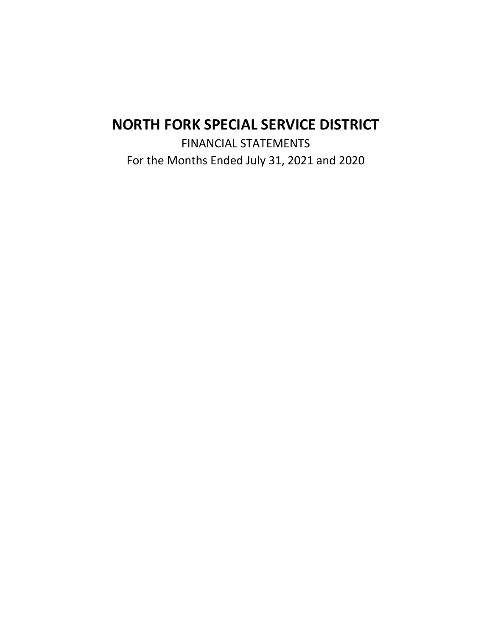FINANCIAL STATEMENTS For the Months Ended July 31, 2021 and 2020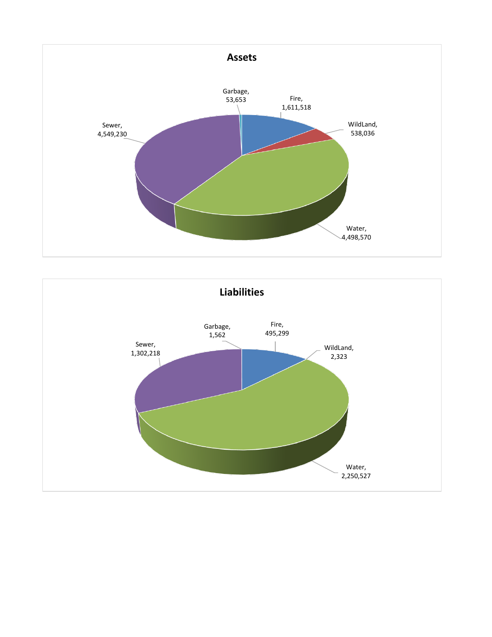

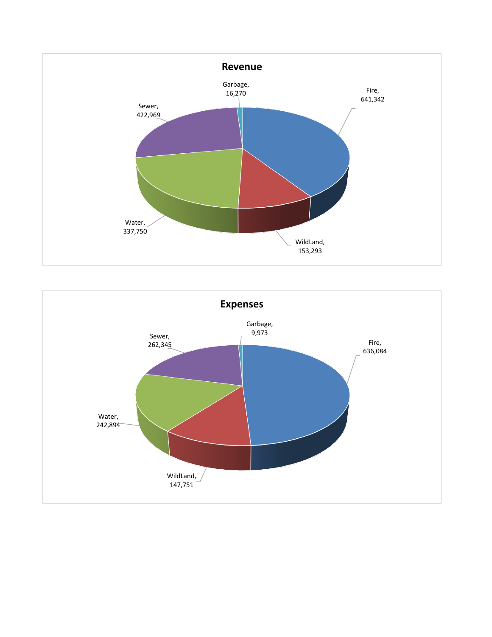

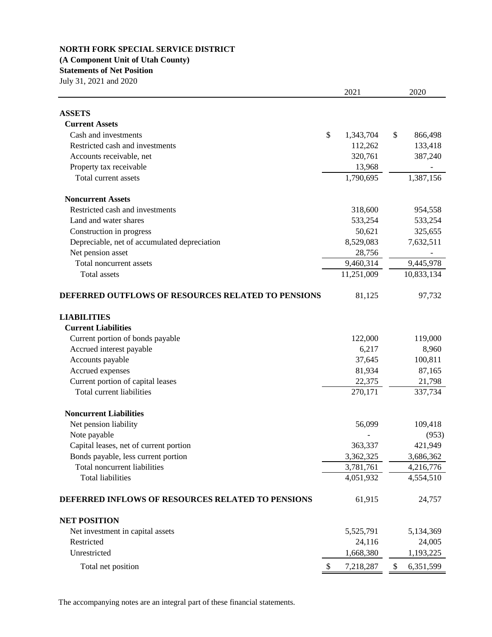# **(A Component Unit of Utah County)**

# **Statements of Net Position**

July 31, 2021 and 2020

|                                                          | 2021            |               | 2020       |
|----------------------------------------------------------|-----------------|---------------|------------|
| <b>ASSETS</b>                                            |                 |               |            |
| <b>Current Assets</b>                                    |                 |               |            |
| Cash and investments                                     | \$<br>1,343,704 | $\mathcal{S}$ | 866,498    |
| Restricted cash and investments                          | 112,262         |               | 133,418    |
| Accounts receivable, net                                 | 320,761         |               | 387,240    |
| Property tax receivable                                  | 13,968          |               |            |
| Total current assets                                     | 1,790,695       |               | 1,387,156  |
| <b>Noncurrent Assets</b>                                 |                 |               |            |
| Restricted cash and investments                          | 318,600         |               | 954,558    |
| Land and water shares                                    | 533,254         |               | 533,254    |
| Construction in progress                                 | 50,621          |               | 325,655    |
| Depreciable, net of accumulated depreciation             | 8,529,083       |               | 7,632,511  |
| Net pension asset                                        | 28,756          |               |            |
| Total noncurrent assets                                  | 9,460,314       |               | 9,445,978  |
| <b>Total assets</b>                                      | 11,251,009      |               | 10,833,134 |
| DEFERRED OUTFLOWS OF RESOURCES RELATED TO PENSIONS       | 81,125          |               | 97,732     |
| <b>LIABILITIES</b>                                       |                 |               |            |
| <b>Current Liabilities</b>                               |                 |               |            |
| Current portion of bonds payable                         | 122,000         |               | 119,000    |
| Accrued interest payable                                 | 6,217           |               | 8,960      |
| Accounts payable                                         | 37,645          |               | 100,811    |
| Accrued expenses                                         | 81,934          |               | 87,165     |
| Current portion of capital leases                        | 22,375          |               | 21,798     |
| Total current liabilities                                | 270,171         |               | 337,734    |
| <b>Noncurrent Liabilities</b>                            |                 |               |            |
| Net pension liability                                    | 56,099          |               | 109,418    |
| Note payable                                             |                 |               | (953)      |
| Capital leases, net of current portion                   | 363,337         |               | 421,949    |
| Bonds payable, less current portion                      | 3,362,325       |               | 3,686,362  |
| <b>Total noncurrent liabilities</b>                      | 3,781,761       |               | 4,216,776  |
| <b>Total liabilities</b>                                 | 4,051,932       |               | 4,554,510  |
| <b>DEFERRED INFLOWS OF RESOURCES RELATED TO PENSIONS</b> | 61,915          |               | 24,757     |
| <b>NET POSITION</b>                                      |                 |               |            |
| Net investment in capital assets                         | 5,525,791       |               | 5,134,369  |
| Restricted                                               | 24,116          |               | 24,005     |
| Unrestricted                                             | 1,668,380       |               | 1,193,225  |
| Total net position                                       | 7,218,287       | \$            | 6,351,599  |

The accompanying notes are an integral part of these financial statements.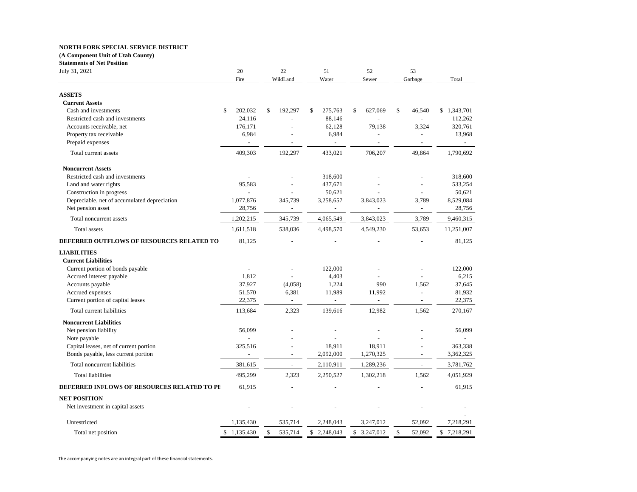**(A Component Unit of Utah County)**

| July 31, 2021<br>20<br>22<br>51<br>52<br>53<br>WildLand<br>Water<br>Sewer<br>Garbage<br>Total<br>Fire<br><b>ASSETS</b><br><b>Current Assets</b><br>\$<br>202,032<br>192,297<br>275,763<br>627,069<br>1,343,701<br>Cash and investments<br>\$<br>$\mathcal{S}$<br>46,540<br>\$<br>\$<br>\$<br>Restricted cash and investments<br>24,116<br>88,146<br>112,262<br>176,171<br>62,128<br>79,138<br>3,324<br>320,761<br>Accounts receivable, net<br>6,984<br>13,968<br>Property tax receivable<br>6,984<br>Prepaid expenses<br>49,864<br>409,303<br>192,297<br>433,021<br>706,207<br>Total current assets<br><b>Noncurrent Assets</b><br>318,600<br>318,600<br>Restricted cash and investments<br>Land and water rights<br>95,583<br>437,671<br>533,254<br>Construction in progress<br>50,621<br>50,621<br>Depreciable, net of accumulated depreciation<br>1,077,876<br>3,258,657<br>3,843,023<br>3,789<br>345,739<br>8,529,084<br>Net pension asset<br>28,756<br>28,756<br>345,739<br>4,065,549<br>3,843,023<br>9,460,315<br>Total noncurrent assets<br>1,202,215<br>3,789<br>538,036<br>Total assets<br>1,611,518<br>4,498,570<br>4,549,230<br>53,653<br>11,251,007<br>DEFERRED OUTFLOWS OF RESOURCES RELATED TO<br>81,125<br><b>LIABILITIES</b><br><b>Current Liabilities</b><br>Current portion of bonds payable<br>122,000<br>Accrued interest payable<br>1,812<br>4,403<br>(4,058)<br>990<br>Accounts payable<br>37,927<br>1,224<br>1,562<br>51,570<br>6,381<br>11,989<br>11,992<br>Accrued expenses<br>Current portion of capital leases<br>22,375<br>Total current liabilities<br>113,684<br>139,616<br>12,982<br>2,323<br>1,562<br><b>Noncurrent Liabilities</b><br>Net pension liability<br>56,099<br>Note payable<br>Capital leases, net of current portion<br>18,911<br>325,516<br>18,911<br>Bonds payable, less current portion<br>2,092,000<br>1,270,325<br>3,362,325<br>Total noncurrent liabilities<br>381,615<br>2,110,911<br>1,289,236<br><b>Total liabilities</b><br>2,323<br>495,299<br>2,250,527<br>1,302,218<br>1,562<br>DEFERRED INFLOWS OF RESOURCES RELATED TO PF<br>61,915<br><b>NET POSITION</b><br>Net investment in capital assets<br>535,714<br>52,092<br>Unrestricted<br>1,135,430<br>2,248,043<br>3,247,012<br>\$1,135,430<br>Total net position<br>535,714<br>\$2,248,043<br>\$3,247,012<br>52,092<br>$\mathcal{S}$<br>$\mathcal{S}$ | $(A$ Component only of oral County)<br><b>Statements of Net Position</b> |  |  |  |  |             |
|-----------------------------------------------------------------------------------------------------------------------------------------------------------------------------------------------------------------------------------------------------------------------------------------------------------------------------------------------------------------------------------------------------------------------------------------------------------------------------------------------------------------------------------------------------------------------------------------------------------------------------------------------------------------------------------------------------------------------------------------------------------------------------------------------------------------------------------------------------------------------------------------------------------------------------------------------------------------------------------------------------------------------------------------------------------------------------------------------------------------------------------------------------------------------------------------------------------------------------------------------------------------------------------------------------------------------------------------------------------------------------------------------------------------------------------------------------------------------------------------------------------------------------------------------------------------------------------------------------------------------------------------------------------------------------------------------------------------------------------------------------------------------------------------------------------------------------------------------------------------------------------------------------------------------------------------------------------------------------------------------------------------------------------------------------------------------------------------------------------------------------------------------------------------------------------------------------------------------------------------------------------------------------------------------------------------------------------------------------------------|--------------------------------------------------------------------------|--|--|--|--|-------------|
|                                                                                                                                                                                                                                                                                                                                                                                                                                                                                                                                                                                                                                                                                                                                                                                                                                                                                                                                                                                                                                                                                                                                                                                                                                                                                                                                                                                                                                                                                                                                                                                                                                                                                                                                                                                                                                                                                                                                                                                                                                                                                                                                                                                                                                                                                                                                                                 |                                                                          |  |  |  |  |             |
|                                                                                                                                                                                                                                                                                                                                                                                                                                                                                                                                                                                                                                                                                                                                                                                                                                                                                                                                                                                                                                                                                                                                                                                                                                                                                                                                                                                                                                                                                                                                                                                                                                                                                                                                                                                                                                                                                                                                                                                                                                                                                                                                                                                                                                                                                                                                                                 |                                                                          |  |  |  |  |             |
|                                                                                                                                                                                                                                                                                                                                                                                                                                                                                                                                                                                                                                                                                                                                                                                                                                                                                                                                                                                                                                                                                                                                                                                                                                                                                                                                                                                                                                                                                                                                                                                                                                                                                                                                                                                                                                                                                                                                                                                                                                                                                                                                                                                                                                                                                                                                                                 |                                                                          |  |  |  |  |             |
|                                                                                                                                                                                                                                                                                                                                                                                                                                                                                                                                                                                                                                                                                                                                                                                                                                                                                                                                                                                                                                                                                                                                                                                                                                                                                                                                                                                                                                                                                                                                                                                                                                                                                                                                                                                                                                                                                                                                                                                                                                                                                                                                                                                                                                                                                                                                                                 |                                                                          |  |  |  |  |             |
|                                                                                                                                                                                                                                                                                                                                                                                                                                                                                                                                                                                                                                                                                                                                                                                                                                                                                                                                                                                                                                                                                                                                                                                                                                                                                                                                                                                                                                                                                                                                                                                                                                                                                                                                                                                                                                                                                                                                                                                                                                                                                                                                                                                                                                                                                                                                                                 |                                                                          |  |  |  |  |             |
|                                                                                                                                                                                                                                                                                                                                                                                                                                                                                                                                                                                                                                                                                                                                                                                                                                                                                                                                                                                                                                                                                                                                                                                                                                                                                                                                                                                                                                                                                                                                                                                                                                                                                                                                                                                                                                                                                                                                                                                                                                                                                                                                                                                                                                                                                                                                                                 |                                                                          |  |  |  |  |             |
|                                                                                                                                                                                                                                                                                                                                                                                                                                                                                                                                                                                                                                                                                                                                                                                                                                                                                                                                                                                                                                                                                                                                                                                                                                                                                                                                                                                                                                                                                                                                                                                                                                                                                                                                                                                                                                                                                                                                                                                                                                                                                                                                                                                                                                                                                                                                                                 |                                                                          |  |  |  |  |             |
|                                                                                                                                                                                                                                                                                                                                                                                                                                                                                                                                                                                                                                                                                                                                                                                                                                                                                                                                                                                                                                                                                                                                                                                                                                                                                                                                                                                                                                                                                                                                                                                                                                                                                                                                                                                                                                                                                                                                                                                                                                                                                                                                                                                                                                                                                                                                                                 |                                                                          |  |  |  |  |             |
|                                                                                                                                                                                                                                                                                                                                                                                                                                                                                                                                                                                                                                                                                                                                                                                                                                                                                                                                                                                                                                                                                                                                                                                                                                                                                                                                                                                                                                                                                                                                                                                                                                                                                                                                                                                                                                                                                                                                                                                                                                                                                                                                                                                                                                                                                                                                                                 |                                                                          |  |  |  |  |             |
|                                                                                                                                                                                                                                                                                                                                                                                                                                                                                                                                                                                                                                                                                                                                                                                                                                                                                                                                                                                                                                                                                                                                                                                                                                                                                                                                                                                                                                                                                                                                                                                                                                                                                                                                                                                                                                                                                                                                                                                                                                                                                                                                                                                                                                                                                                                                                                 |                                                                          |  |  |  |  | 1,790,692   |
|                                                                                                                                                                                                                                                                                                                                                                                                                                                                                                                                                                                                                                                                                                                                                                                                                                                                                                                                                                                                                                                                                                                                                                                                                                                                                                                                                                                                                                                                                                                                                                                                                                                                                                                                                                                                                                                                                                                                                                                                                                                                                                                                                                                                                                                                                                                                                                 |                                                                          |  |  |  |  |             |
|                                                                                                                                                                                                                                                                                                                                                                                                                                                                                                                                                                                                                                                                                                                                                                                                                                                                                                                                                                                                                                                                                                                                                                                                                                                                                                                                                                                                                                                                                                                                                                                                                                                                                                                                                                                                                                                                                                                                                                                                                                                                                                                                                                                                                                                                                                                                                                 |                                                                          |  |  |  |  |             |
|                                                                                                                                                                                                                                                                                                                                                                                                                                                                                                                                                                                                                                                                                                                                                                                                                                                                                                                                                                                                                                                                                                                                                                                                                                                                                                                                                                                                                                                                                                                                                                                                                                                                                                                                                                                                                                                                                                                                                                                                                                                                                                                                                                                                                                                                                                                                                                 |                                                                          |  |  |  |  |             |
|                                                                                                                                                                                                                                                                                                                                                                                                                                                                                                                                                                                                                                                                                                                                                                                                                                                                                                                                                                                                                                                                                                                                                                                                                                                                                                                                                                                                                                                                                                                                                                                                                                                                                                                                                                                                                                                                                                                                                                                                                                                                                                                                                                                                                                                                                                                                                                 |                                                                          |  |  |  |  |             |
|                                                                                                                                                                                                                                                                                                                                                                                                                                                                                                                                                                                                                                                                                                                                                                                                                                                                                                                                                                                                                                                                                                                                                                                                                                                                                                                                                                                                                                                                                                                                                                                                                                                                                                                                                                                                                                                                                                                                                                                                                                                                                                                                                                                                                                                                                                                                                                 |                                                                          |  |  |  |  |             |
|                                                                                                                                                                                                                                                                                                                                                                                                                                                                                                                                                                                                                                                                                                                                                                                                                                                                                                                                                                                                                                                                                                                                                                                                                                                                                                                                                                                                                                                                                                                                                                                                                                                                                                                                                                                                                                                                                                                                                                                                                                                                                                                                                                                                                                                                                                                                                                 |                                                                          |  |  |  |  |             |
|                                                                                                                                                                                                                                                                                                                                                                                                                                                                                                                                                                                                                                                                                                                                                                                                                                                                                                                                                                                                                                                                                                                                                                                                                                                                                                                                                                                                                                                                                                                                                                                                                                                                                                                                                                                                                                                                                                                                                                                                                                                                                                                                                                                                                                                                                                                                                                 |                                                                          |  |  |  |  |             |
|                                                                                                                                                                                                                                                                                                                                                                                                                                                                                                                                                                                                                                                                                                                                                                                                                                                                                                                                                                                                                                                                                                                                                                                                                                                                                                                                                                                                                                                                                                                                                                                                                                                                                                                                                                                                                                                                                                                                                                                                                                                                                                                                                                                                                                                                                                                                                                 |                                                                          |  |  |  |  |             |
|                                                                                                                                                                                                                                                                                                                                                                                                                                                                                                                                                                                                                                                                                                                                                                                                                                                                                                                                                                                                                                                                                                                                                                                                                                                                                                                                                                                                                                                                                                                                                                                                                                                                                                                                                                                                                                                                                                                                                                                                                                                                                                                                                                                                                                                                                                                                                                 |                                                                          |  |  |  |  |             |
|                                                                                                                                                                                                                                                                                                                                                                                                                                                                                                                                                                                                                                                                                                                                                                                                                                                                                                                                                                                                                                                                                                                                                                                                                                                                                                                                                                                                                                                                                                                                                                                                                                                                                                                                                                                                                                                                                                                                                                                                                                                                                                                                                                                                                                                                                                                                                                 |                                                                          |  |  |  |  | 81,125      |
|                                                                                                                                                                                                                                                                                                                                                                                                                                                                                                                                                                                                                                                                                                                                                                                                                                                                                                                                                                                                                                                                                                                                                                                                                                                                                                                                                                                                                                                                                                                                                                                                                                                                                                                                                                                                                                                                                                                                                                                                                                                                                                                                                                                                                                                                                                                                                                 |                                                                          |  |  |  |  |             |
|                                                                                                                                                                                                                                                                                                                                                                                                                                                                                                                                                                                                                                                                                                                                                                                                                                                                                                                                                                                                                                                                                                                                                                                                                                                                                                                                                                                                                                                                                                                                                                                                                                                                                                                                                                                                                                                                                                                                                                                                                                                                                                                                                                                                                                                                                                                                                                 |                                                                          |  |  |  |  |             |
|                                                                                                                                                                                                                                                                                                                                                                                                                                                                                                                                                                                                                                                                                                                                                                                                                                                                                                                                                                                                                                                                                                                                                                                                                                                                                                                                                                                                                                                                                                                                                                                                                                                                                                                                                                                                                                                                                                                                                                                                                                                                                                                                                                                                                                                                                                                                                                 |                                                                          |  |  |  |  | 122,000     |
|                                                                                                                                                                                                                                                                                                                                                                                                                                                                                                                                                                                                                                                                                                                                                                                                                                                                                                                                                                                                                                                                                                                                                                                                                                                                                                                                                                                                                                                                                                                                                                                                                                                                                                                                                                                                                                                                                                                                                                                                                                                                                                                                                                                                                                                                                                                                                                 |                                                                          |  |  |  |  | 6,215       |
|                                                                                                                                                                                                                                                                                                                                                                                                                                                                                                                                                                                                                                                                                                                                                                                                                                                                                                                                                                                                                                                                                                                                                                                                                                                                                                                                                                                                                                                                                                                                                                                                                                                                                                                                                                                                                                                                                                                                                                                                                                                                                                                                                                                                                                                                                                                                                                 |                                                                          |  |  |  |  | 37,645      |
|                                                                                                                                                                                                                                                                                                                                                                                                                                                                                                                                                                                                                                                                                                                                                                                                                                                                                                                                                                                                                                                                                                                                                                                                                                                                                                                                                                                                                                                                                                                                                                                                                                                                                                                                                                                                                                                                                                                                                                                                                                                                                                                                                                                                                                                                                                                                                                 |                                                                          |  |  |  |  | 81,932      |
|                                                                                                                                                                                                                                                                                                                                                                                                                                                                                                                                                                                                                                                                                                                                                                                                                                                                                                                                                                                                                                                                                                                                                                                                                                                                                                                                                                                                                                                                                                                                                                                                                                                                                                                                                                                                                                                                                                                                                                                                                                                                                                                                                                                                                                                                                                                                                                 |                                                                          |  |  |  |  | 22,375      |
|                                                                                                                                                                                                                                                                                                                                                                                                                                                                                                                                                                                                                                                                                                                                                                                                                                                                                                                                                                                                                                                                                                                                                                                                                                                                                                                                                                                                                                                                                                                                                                                                                                                                                                                                                                                                                                                                                                                                                                                                                                                                                                                                                                                                                                                                                                                                                                 |                                                                          |  |  |  |  | 270,167     |
|                                                                                                                                                                                                                                                                                                                                                                                                                                                                                                                                                                                                                                                                                                                                                                                                                                                                                                                                                                                                                                                                                                                                                                                                                                                                                                                                                                                                                                                                                                                                                                                                                                                                                                                                                                                                                                                                                                                                                                                                                                                                                                                                                                                                                                                                                                                                                                 |                                                                          |  |  |  |  |             |
|                                                                                                                                                                                                                                                                                                                                                                                                                                                                                                                                                                                                                                                                                                                                                                                                                                                                                                                                                                                                                                                                                                                                                                                                                                                                                                                                                                                                                                                                                                                                                                                                                                                                                                                                                                                                                                                                                                                                                                                                                                                                                                                                                                                                                                                                                                                                                                 |                                                                          |  |  |  |  | 56,099      |
|                                                                                                                                                                                                                                                                                                                                                                                                                                                                                                                                                                                                                                                                                                                                                                                                                                                                                                                                                                                                                                                                                                                                                                                                                                                                                                                                                                                                                                                                                                                                                                                                                                                                                                                                                                                                                                                                                                                                                                                                                                                                                                                                                                                                                                                                                                                                                                 |                                                                          |  |  |  |  |             |
|                                                                                                                                                                                                                                                                                                                                                                                                                                                                                                                                                                                                                                                                                                                                                                                                                                                                                                                                                                                                                                                                                                                                                                                                                                                                                                                                                                                                                                                                                                                                                                                                                                                                                                                                                                                                                                                                                                                                                                                                                                                                                                                                                                                                                                                                                                                                                                 |                                                                          |  |  |  |  | 363,338     |
|                                                                                                                                                                                                                                                                                                                                                                                                                                                                                                                                                                                                                                                                                                                                                                                                                                                                                                                                                                                                                                                                                                                                                                                                                                                                                                                                                                                                                                                                                                                                                                                                                                                                                                                                                                                                                                                                                                                                                                                                                                                                                                                                                                                                                                                                                                                                                                 |                                                                          |  |  |  |  |             |
|                                                                                                                                                                                                                                                                                                                                                                                                                                                                                                                                                                                                                                                                                                                                                                                                                                                                                                                                                                                                                                                                                                                                                                                                                                                                                                                                                                                                                                                                                                                                                                                                                                                                                                                                                                                                                                                                                                                                                                                                                                                                                                                                                                                                                                                                                                                                                                 |                                                                          |  |  |  |  | 3,781,762   |
|                                                                                                                                                                                                                                                                                                                                                                                                                                                                                                                                                                                                                                                                                                                                                                                                                                                                                                                                                                                                                                                                                                                                                                                                                                                                                                                                                                                                                                                                                                                                                                                                                                                                                                                                                                                                                                                                                                                                                                                                                                                                                                                                                                                                                                                                                                                                                                 |                                                                          |  |  |  |  | 4,051,929   |
|                                                                                                                                                                                                                                                                                                                                                                                                                                                                                                                                                                                                                                                                                                                                                                                                                                                                                                                                                                                                                                                                                                                                                                                                                                                                                                                                                                                                                                                                                                                                                                                                                                                                                                                                                                                                                                                                                                                                                                                                                                                                                                                                                                                                                                                                                                                                                                 |                                                                          |  |  |  |  | 61,915      |
|                                                                                                                                                                                                                                                                                                                                                                                                                                                                                                                                                                                                                                                                                                                                                                                                                                                                                                                                                                                                                                                                                                                                                                                                                                                                                                                                                                                                                                                                                                                                                                                                                                                                                                                                                                                                                                                                                                                                                                                                                                                                                                                                                                                                                                                                                                                                                                 |                                                                          |  |  |  |  |             |
|                                                                                                                                                                                                                                                                                                                                                                                                                                                                                                                                                                                                                                                                                                                                                                                                                                                                                                                                                                                                                                                                                                                                                                                                                                                                                                                                                                                                                                                                                                                                                                                                                                                                                                                                                                                                                                                                                                                                                                                                                                                                                                                                                                                                                                                                                                                                                                 |                                                                          |  |  |  |  |             |
|                                                                                                                                                                                                                                                                                                                                                                                                                                                                                                                                                                                                                                                                                                                                                                                                                                                                                                                                                                                                                                                                                                                                                                                                                                                                                                                                                                                                                                                                                                                                                                                                                                                                                                                                                                                                                                                                                                                                                                                                                                                                                                                                                                                                                                                                                                                                                                 |                                                                          |  |  |  |  | 7,218,291   |
|                                                                                                                                                                                                                                                                                                                                                                                                                                                                                                                                                                                                                                                                                                                                                                                                                                                                                                                                                                                                                                                                                                                                                                                                                                                                                                                                                                                                                                                                                                                                                                                                                                                                                                                                                                                                                                                                                                                                                                                                                                                                                                                                                                                                                                                                                                                                                                 |                                                                          |  |  |  |  | \$7,218,291 |

The accompanying notes are an integral part of these financial statements.

-<br>218,291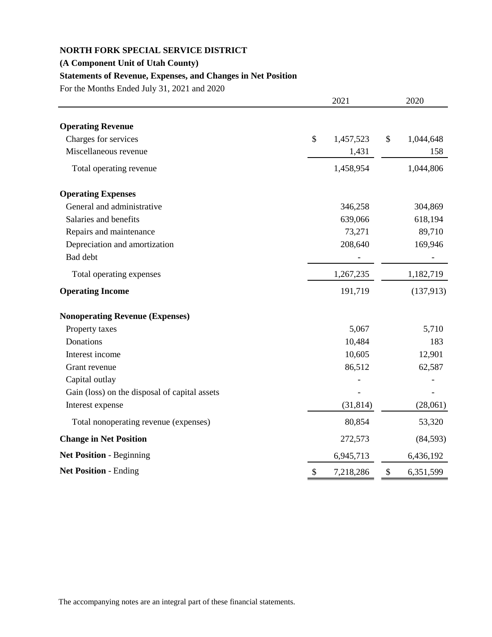### **(A Component Unit of Utah County)**

### **Statements of Revenue, Expenses, and Changes in Net Position**

For the Months Ended July 31, 2021 and 2020

|                                               | 2021            | 2020            |  |
|-----------------------------------------------|-----------------|-----------------|--|
| <b>Operating Revenue</b>                      |                 |                 |  |
| Charges for services                          | \$<br>1,457,523 | \$<br>1,044,648 |  |
| Miscellaneous revenue                         | 1,431           | 158             |  |
|                                               |                 |                 |  |
| Total operating revenue                       | 1,458,954       | 1,044,806       |  |
| <b>Operating Expenses</b>                     |                 |                 |  |
| General and administrative                    | 346,258         | 304,869         |  |
| Salaries and benefits                         | 639,066         | 618,194         |  |
| Repairs and maintenance                       | 73,271          | 89,710          |  |
| Depreciation and amortization                 | 208,640         | 169,946         |  |
| Bad debt                                      |                 |                 |  |
| Total operating expenses                      | 1,267,235       | 1,182,719       |  |
| <b>Operating Income</b>                       | 191,719         | (137,913)       |  |
| <b>Nonoperating Revenue (Expenses)</b>        |                 |                 |  |
| Property taxes                                | 5,067           | 5,710           |  |
| Donations                                     | 10,484          | 183             |  |
| Interest income                               | 10,605          | 12,901          |  |
| Grant revenue                                 | 86,512          | 62,587          |  |
| Capital outlay                                |                 |                 |  |
| Gain (loss) on the disposal of capital assets |                 |                 |  |
| Interest expense                              | (31, 814)       | (28,061)        |  |
| Total nonoperating revenue (expenses)         | 80,854          | 53,320          |  |
| <b>Change in Net Position</b>                 | 272,573         | (84, 593)       |  |
| <b>Net Position - Beginning</b>               | 6,945,713       | 6,436,192       |  |
| Net Position - Ending                         | \$<br>7,218,286 | \$<br>6,351,599 |  |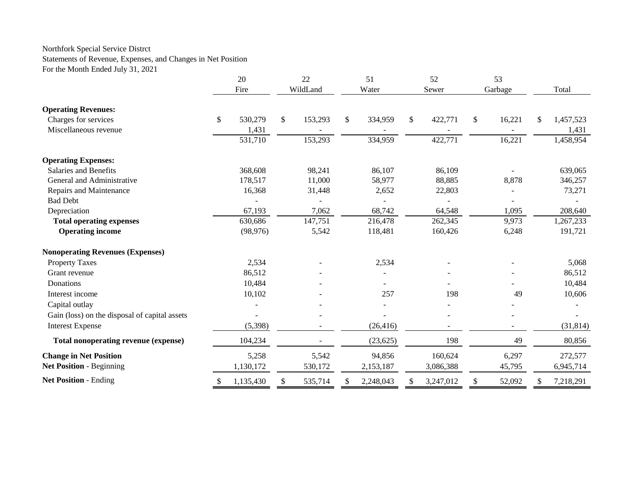### Northfork Special Service Distrct

Statements of Revenue, Expenses, and Changes in Net Position

For the Month Ended July 31, 2021

|                                               | 20<br>Fire      | 22<br>WildLand | 51<br>Water     | 52<br>Sewer     | 53<br>Garbage            |     | Total     |
|-----------------------------------------------|-----------------|----------------|-----------------|-----------------|--------------------------|-----|-----------|
| <b>Operating Revenues:</b>                    |                 |                |                 |                 |                          |     |           |
| Charges for services                          | \$<br>530,279   | \$<br>153,293  | \$<br>334,959   | \$<br>422,771   | \$<br>16,221             | \$. | 1,457,523 |
| Miscellaneous revenue                         | 1,431           |                |                 |                 |                          |     | 1,431     |
|                                               | 531,710         | 153,293        | 334,959         | 422,771         | 16,221                   |     | 1,458,954 |
| <b>Operating Expenses:</b>                    |                 |                |                 |                 |                          |     |           |
| <b>Salaries and Benefits</b>                  | 368,608         | 98,241         | 86,107          | 86,109          |                          |     | 639,065   |
| General and Administrative                    | 178,517         | 11,000         | 58,977          | 88,885          | 8,878                    |     | 346,257   |
| Repairs and Maintenance                       | 16,368          | 31,448         | 2,652           | 22,803          |                          |     | 73,271    |
| <b>Bad Debt</b>                               |                 |                |                 |                 | $\overline{\phantom{a}}$ |     |           |
| Depreciation                                  | 67,193          | 7,062          | 68,742          | 64,548          | 1,095                    |     | 208,640   |
| <b>Total operating expenses</b>               | 630,686         | 147,751        | 216,478         | 262,345         | 9,973                    |     | 1,267,233 |
| <b>Operating income</b>                       | (98, 976)       | 5,542          | 118,481         | 160,426         | 6,248                    |     | 191,721   |
| <b>Nonoperating Revenues (Expenses)</b>       |                 |                |                 |                 |                          |     |           |
| <b>Property Taxes</b>                         | 2,534           |                | 2,534           |                 |                          |     | 5,068     |
| Grant revenue                                 | 86,512          |                |                 |                 |                          |     | 86,512    |
| Donations                                     | 10,484          |                |                 |                 |                          |     | 10,484    |
| Interest income                               | 10,102          |                | 257             | 198             | 49                       |     | 10,606    |
| Capital outlay                                |                 |                |                 |                 |                          |     |           |
| Gain (loss) on the disposal of capital assets |                 |                |                 |                 |                          |     |           |
| <b>Interest Expense</b>                       | (5,398)         |                | (26, 416)       | $\blacksquare$  | $\overline{\phantom{a}}$ |     | (31, 814) |
| Total nonoperating revenue (expense)          | 104,234         |                | (23, 625)       | 198             | 49                       |     | 80,856    |
| <b>Change in Net Position</b>                 | 5,258           | 5,542          | 94,856          | 160,624         | 6,297                    |     | 272,577   |
| <b>Net Position - Beginning</b>               | 1,130,172       | 530,172        | 2,153,187       | 3,086,388       | 45,795                   |     | 6,945,714 |
| <b>Net Position - Ending</b>                  | \$<br>1,135,430 | \$<br>535,714  | \$<br>2,248,043 | \$<br>3,247,012 | \$<br>52,092             | \$  | 7,218,291 |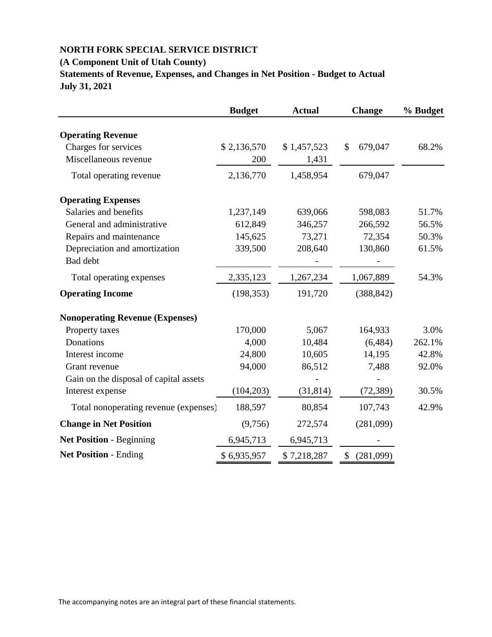### **(A Component Unit of Utah County)**

**Statements of Revenue, Expenses, and Changes in Net Position - Budget to Actual July 31, 2021**

|                                        | <b>Budget</b> | <b>Actual</b> | <b>Change</b>   | % Budget |
|----------------------------------------|---------------|---------------|-----------------|----------|
| <b>Operating Revenue</b>               |               |               |                 |          |
| Charges for services                   | \$2,136,570   | \$1,457,523   | \$<br>679,047   | 68.2%    |
| Miscellaneous revenue                  | 200           | 1,431         |                 |          |
| Total operating revenue                | 2,136,770     | 1,458,954     | 679,047         |          |
| <b>Operating Expenses</b>              |               |               |                 |          |
| Salaries and benefits                  | 1,237,149     | 639,066       | 598,083         | 51.7%    |
| General and administrative             | 612,849       | 346,257       | 266,592         | 56.5%    |
| Repairs and maintenance                | 145,625       | 73,271        | 72,354          | 50.3%    |
| Depreciation and amortization          | 339,500       | 208,640       | 130,860         | 61.5%    |
| Bad debt                               |               |               |                 |          |
| Total operating expenses               | 2,335,123     | 1,267,234     | 1,067,889       | 54.3%    |
| <b>Operating Income</b>                | (198, 353)    | 191,720       | (388, 842)      |          |
| <b>Nonoperating Revenue (Expenses)</b> |               |               |                 |          |
| Property taxes                         | 170,000       | 5,067         | 164,933         | 3.0%     |
| Donations                              | 4,000         | 10,484        | (6, 484)        | 262.1%   |
| Interest income                        | 24,800        | 10,605        | 14,195          | 42.8%    |
| Grant revenue                          | 94,000        | 86,512        | 7,488           | 92.0%    |
| Gain on the disposal of capital assets |               |               |                 |          |
| Interest expense                       | (104, 203)    | (31, 814)     | (72, 389)       | 30.5%    |
| Total nonoperating revenue (expenses)  | 188,597       | 80,854        | 107,743         | 42.9%    |
| <b>Change in Net Position</b>          | (9,756)       | 272,574       | (281,099)       |          |
| <b>Net Position - Beginning</b>        | 6,945,713     | 6,945,713     |                 |          |
| <b>Net Position - Ending</b>           | \$6,935,957   | \$7,218,287   | \$<br>(281,099) |          |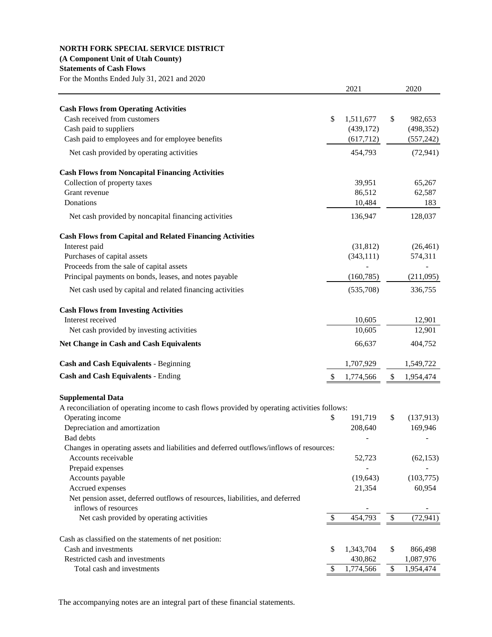# **(A Component Unit of Utah County)**

# **Statements of Cash Flows**

For the Months Ended July 31, 2021 and 2020

|                                                                                                                          | 2021                    |              | 2020                  |
|--------------------------------------------------------------------------------------------------------------------------|-------------------------|--------------|-----------------------|
|                                                                                                                          |                         |              |                       |
| <b>Cash Flows from Operating Activities</b><br>Cash received from customers                                              | \$                      | $\mathbb{S}$ |                       |
| Cash paid to suppliers                                                                                                   | 1,511,677<br>(439, 172) |              | 982,653<br>(498, 352) |
| Cash paid to employees and for employee benefits                                                                         | (617, 712)              |              | (557, 242)            |
|                                                                                                                          |                         |              |                       |
| Net cash provided by operating activities                                                                                | 454,793                 |              | (72, 941)             |
| <b>Cash Flows from Noncapital Financing Activities</b>                                                                   |                         |              |                       |
| Collection of property taxes                                                                                             | 39,951                  |              | 65,267                |
| Grant revenue                                                                                                            | 86,512                  |              | 62,587                |
| Donations                                                                                                                | 10,484                  |              | 183                   |
| Net cash provided by noncapital financing activities                                                                     | 136,947                 |              | 128,037               |
| <b>Cash Flows from Capital and Related Financing Activities</b>                                                          |                         |              |                       |
| Interest paid                                                                                                            | (31, 812)               |              | (26, 461)             |
| Purchases of capital assets                                                                                              | (343, 111)              |              | 574,311               |
| Proceeds from the sale of capital assets                                                                                 |                         |              |                       |
| Principal payments on bonds, leases, and notes payable                                                                   | (160, 785)              |              | (211,095)             |
| Net cash used by capital and related financing activities                                                                | (535,708)               |              | 336,755               |
| <b>Cash Flows from Investing Activities</b>                                                                              |                         |              |                       |
| Interest received                                                                                                        | 10,605                  |              | 12,901                |
| Net cash provided by investing activities                                                                                | 10,605                  |              | 12,901                |
| Net Change in Cash and Cash Equivalents                                                                                  | 66,637                  |              | 404,752               |
| <b>Cash and Cash Equivalents - Beginning</b>                                                                             | 1,707,929               |              | 1,549,722             |
| <b>Cash and Cash Equivalents - Ending</b>                                                                                | 1,774,566 \$ 1,954,474  |              |                       |
|                                                                                                                          |                         |              |                       |
| <b>Supplemental Data</b><br>A reconciliation of operating income to cash flows provided by operating activities follows: |                         |              |                       |
| Operating income                                                                                                         | \$<br>191,719           | \$           | (137, 913)            |
| Depreciation and amortization                                                                                            | 208,640                 |              | 169,946               |
| <b>Bad debts</b>                                                                                                         |                         |              |                       |
| Changes in operating assets and liabilities and deferred outflows/inflows of resources:                                  |                         |              |                       |
| Accounts receivable                                                                                                      | 52,723                  |              | (62, 153)             |
| Prepaid expenses                                                                                                         |                         |              |                       |
| Accounts payable                                                                                                         | (19,643)                |              | (103, 775)            |
| Accrued expenses                                                                                                         | 21,354                  |              | 60,954                |
| Net pension asset, deferred outflows of resources, liabilities, and deferred                                             |                         |              |                       |
| inflows of resources                                                                                                     |                         |              |                       |
| Net cash provided by operating activities                                                                                | 454,793                 | \$           | (72, 941)             |
| Cash as classified on the statements of net position:                                                                    |                         |              |                       |
| Cash and investments                                                                                                     | \$<br>1,343,704         | \$           | 866,498               |
| Restricted cash and investments                                                                                          | 430,862                 |              | 1,087,976             |
| Total cash and investments                                                                                               | 1,774,566               | \$           | 1,954,474             |
|                                                                                                                          |                         |              |                       |

The accompanying notes are an integral part of these financial statements.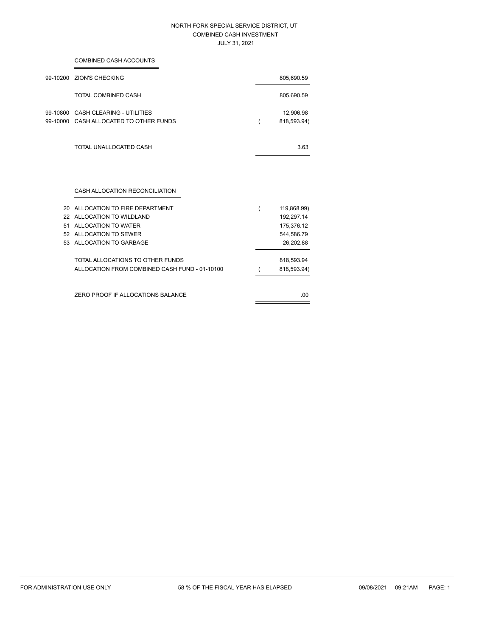#### NORTH FORK SPECIAL SERVICE DISTRICT, UT COMBINED CASH INVESTMENT JULY 31, 2021

COMBINED CASH ACCOUNTS

| 99-10200 | <b>ZION'S CHECKING</b>                        |   | 805,690.59               |
|----------|-----------------------------------------------|---|--------------------------|
|          | TOTAL COMBINED CASH                           |   | 805,690.59               |
| 99-10800 | CASH CLEARING - UTILITIES                     |   | 12,906.98                |
|          | 99-10000 CASH ALLOCATED TO OTHER FUNDS        | ( | 818,593.94)              |
|          | TOTAL UNALLOCATED CASH                        |   | 3.63                     |
|          | CASH ALLOCATION RECONCILIATION                |   |                          |
| 20       | ALLOCATION TO FIRE DEPARTMENT                 |   |                          |
| 22       | ALLOCATION TO WILDLAND                        | ( | 119,868.99)              |
| 51       | ALLOCATION TO WATER                           |   | 192,297.14               |
| 52       | <b>ALLOCATION TO SEWER</b>                    |   | 175,376.12<br>544,586.79 |
|          | 53 ALLOCATION TO GARBAGE                      |   | 26,202.88                |
|          | TOTAL ALLOCATIONS TO OTHER FUNDS              |   | 818,593.94               |
|          | ALLOCATION FROM COMBINED CASH FUND - 01-10100 |   | 818,593.94)              |
|          | ZERO PROOF IF ALLOCATIONS BALANCE             |   | .00                      |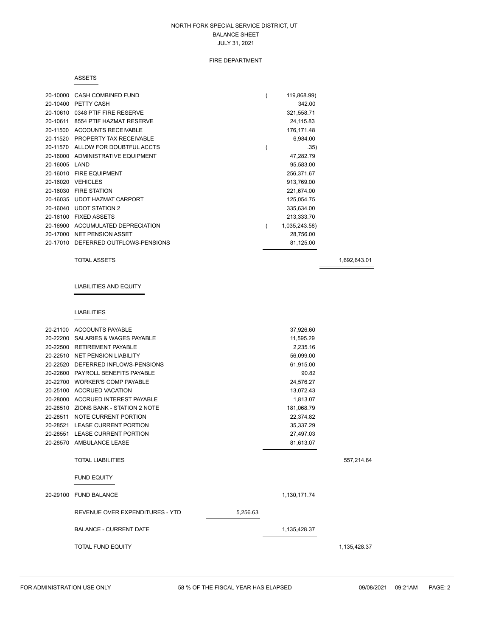#### FIRE DEPARTMENT

#### ASSETS

 $\equiv$ 

| 20-10000 | CASH COMBINED FUND           | 119,868.99)   |
|----------|------------------------------|---------------|
| 20-10400 | PETTY CASH                   | 342.00        |
| 20-10610 | 0348 PTIF FIRE RESERVE       | 321,558.71    |
| 20-10611 | 8554 PTIF HAZMAT RESERVE     | 24,115.83     |
| 20-11500 | <b>ACCOUNTS RECEIVABLE</b>   | 176,171.48    |
| 20-11520 | PROPERTY TAX RECEIVABLE      | 6,984.00      |
| 20-11570 | ALLOW FOR DOUBTFUL ACCTS     | .35)          |
| 20-16000 | ADMINISTRATIVE EQUIPMENT     | 47,282.79     |
| 20-16005 | LAND                         | 95,583.00     |
| 20-16010 | <b>FIRE EQUIPMENT</b>        | 256,371.67    |
| 20-16020 | <b>VEHICLES</b>              | 913,769.00    |
| 20-16030 | <b>FIRE STATION</b>          | 221,674.00    |
|          | 20-16035 UDOT HAZMAT CARPORT | 125,054.75    |
| 20-16040 | <b>UDOT STATION 2</b>        | 335,634.00    |
| 20-16100 | <b>FIXED ASSETS</b>          | 213,333.70    |
| 20-16900 | ACCUMULATED DEPRECIATION     | 1,035,243.58) |
| 20-17000 | NET PENSION ASSET            | 28,756.00     |
| 20-17010 | DEFERRED OUTFLOWS-PENSIONS   | 81,125.00     |
|          |                              |               |

#### TOTAL ASSETS 1,692,643.01

#### LIABILITIES AND EQUITY

#### LIABILITIES

| 20-21100 ACCOUNTS PAYABLE            |          | 37,926.60    |              |
|--------------------------------------|----------|--------------|--------------|
| 20-22200 SALARIES & WAGES PAYABLE    |          | 11,595.29    |              |
| 20-22500 RETIREMENT PAYABLE          |          | 2,235.16     |              |
| 20-22510 NET PENSION LIABILITY       |          | 56,099.00    |              |
| 20-22520 DEFERRED INFLOWS-PENSIONS   |          | 61,915.00    |              |
| 20-22600 PAYROLL BENEFITS PAYABLE    |          | 90.82        |              |
| 20-22700 WORKER'S COMP PAYABLE       |          | 24,576.27    |              |
| 20-25100 ACCRUED VACATION            |          | 13,072.43    |              |
| 20-28000 ACCRUED INTEREST PAYABLE    |          | 1,813.07     |              |
| 20-28510 ZIONS BANK - STATION 2 NOTE |          | 181,068.79   |              |
| 20-28511 NOTE CURRENT PORTION        |          | 22,374.82    |              |
| 20-28521 LEASE CURRENT PORTION       |          | 35,337.29    |              |
| 20-28551 LEASE CURRENT PORTION       |          | 27,497.03    |              |
| 20-28570 AMBULANCE LEASE             |          | 81,613.07    |              |
| <b>TOTAL LIABILITIES</b>             |          |              | 557,214.64   |
| <b>FUND EQUITY</b>                   |          |              |              |
| 20-29100 FUND BALANCE                |          | 1,130,171.74 |              |
| REVENUE OVER EXPENDITURES - YTD      | 5,256.63 |              |              |
| <b>BALANCE - CURRENT DATE</b>        |          | 1,135,428.37 |              |
| <b>TOTAL FUND EQUITY</b>             |          |              | 1,135,428.37 |
|                                      |          |              |              |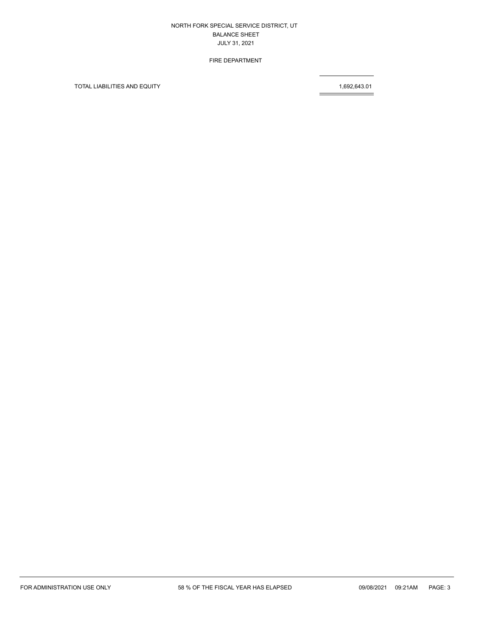FIRE DEPARTMENT

TOTAL LIABILITIES AND EQUITY 1,692,643.01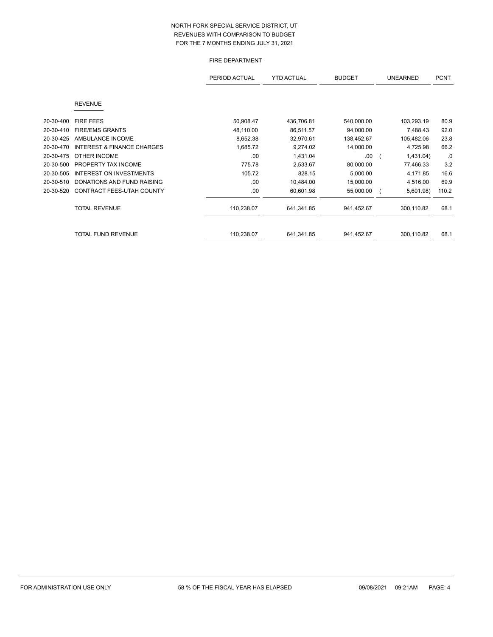#### FIRE DEPARTMENT

|           |                                       | PERIOD ACTUAL | <b>YTD ACTUAL</b> | <b>BUDGET</b> | <b>UNEARNED</b> | <b>PCNT</b> |
|-----------|---------------------------------------|---------------|-------------------|---------------|-----------------|-------------|
|           | <b>REVENUE</b>                        |               |                   |               |                 |             |
| 20-30-400 | <b>FIRE FEES</b>                      | 50,908.47     | 436,706.81        | 540,000.00    | 103,293.19      | 80.9        |
| 20-30-410 | <b>FIRE/EMS GRANTS</b>                | 48,110.00     | 86,511.57         | 94,000.00     | 7,488.43        | 92.0        |
| 20-30-425 | AMBULANCE INCOME                      | 8,652.38      | 32,970.61         | 138,452.67    | 105,482.06      | 23.8        |
| 20-30-470 | <b>INTEREST &amp; FINANCE CHARGES</b> | 1,685.72      | 9,274.02          | 14,000.00     | 4,725.98        | 66.2        |
| 20-30-475 | OTHER INCOME                          | .00           | 1,431.04          | .00           | 1,431.04)       | .0          |
| 20-30-500 | PROPERTY TAX INCOME                   | 775.78        | 2,533.67          | 80,000.00     | 77,466.33       | 3.2         |
| 20-30-505 | <b>INTEREST ON INVESTMENTS</b>        | 105.72        | 828.15            | 5,000.00      | 4,171.85        | 16.6        |
| 20-30-510 | DONATIONS AND FUND RAISING            | .00           | 10,484.00         | 15,000.00     | 4,516.00        | 69.9        |
| 20-30-520 | <b>CONTRACT FEES-UTAH COUNTY</b>      | .00           | 60,601.98         | 55,000.00     | 5,601.98)       | 110.2       |
|           | <b>TOTAL REVENUE</b>                  | 110,238.07    | 641,341.85        | 941,452.67    | 300,110.82      | 68.1        |
|           | <b>TOTAL FUND REVENUE</b>             | 110,238.07    | 641,341.85        | 941,452.67    | 300,110.82      | 68.1        |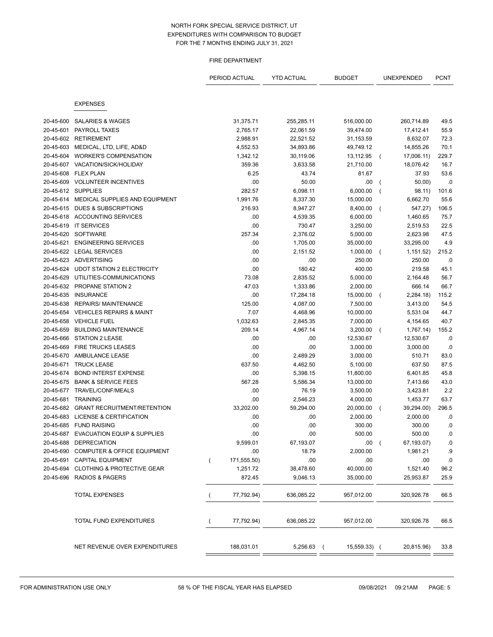#### FIRE DEPARTMENT

|           |                                       | PERIOD ACTUAL                | <b>YTD ACTUAL</b> | <b>BUDGET</b> | UNEXPENDED                | <b>PCNT</b> |
|-----------|---------------------------------------|------------------------------|-------------------|---------------|---------------------------|-------------|
|           |                                       |                              |                   |               |                           |             |
|           | <b>EXPENSES</b>                       |                              |                   |               |                           |             |
| 20-45-600 | <b>SALARIES &amp; WAGES</b>           | 31,375.71                    | 255,285.11        | 516,000.00    | 260,714.89                | 49.5        |
| 20-45-601 | PAYROLL TAXES                         | 2,765.17                     | 22,061.59         | 39,474.00     | 17,412.41                 | 55.9        |
| 20-45-602 | <b>RETIREMENT</b>                     | 2,988.91                     | 22,521.52         | 31,153.59     | 8,632.07                  | 72.3        |
| 20-45-603 | MEDICAL, LTD, LIFE, AD&D              | 4,552.53                     | 34,893.86         | 49,749.12     | 14,855.26                 | 70.1        |
| 20-45-604 | <b>WORKER'S COMPENSATION</b>          | 1,342.12                     | 30,119.06         | 13,112.95     | 17,006.11)<br>$\left($    | 229.7       |
| 20-45-607 | VACATION/SICK/HOLIDAY                 | 359.36                       | 3,633.58          | 21,710.00     | 18,076.42                 | 16.7        |
| 20-45-608 | <b>FLEX PLAN</b>                      | 6.25                         | 43.74             | 81.67         | 37.93                     | 53.6        |
| 20-45-609 | <b>VOLUNTEER INCENTIVES</b>           | .00                          | 50.00             | .00           | $50.00$ )                 | .0          |
|           | 20-45-612 SUPPLIES                    | 282.57                       | 6,098.11          | 6,000.00      | 98.11)                    | 101.6       |
| 20-45-614 | MEDICAL SUPPLIES AND EQUIPMENT        | 1,991.76                     | 8,337.30          | 15,000.00     | 6,662.70                  | 55.6        |
| 20-45-615 | <b>DUES &amp; SUBSCRIPTIONS</b>       | 216.93                       | 8,947.27          | 8,400.00      | 547.27)<br>$\overline{ }$ | 106.5       |
|           | 20-45-618 ACCOUNTING SERVICES         | .00                          | 4,539.35          | 6,000.00      | 1,460.65                  | 75.7        |
| 20-45-619 | <b>IT SERVICES</b>                    | .00                          | 730.47            | 3,250.00      | 2,519.53                  | 22.5        |
| 20-45-620 | SOFTWARE                              | 257.34                       | 2,376.02          | 5,000.00      | 2,623.98                  | 47.5        |
| 20-45-621 | <b>ENGINEERING SERVICES</b>           | .00                          | 1,705.00          | 35,000.00     | 33,295.00                 | 4.9         |
|           | 20-45-622 LEGAL SERVICES              | .00                          | 2,151.52          | 1,000.00      | 1,151.52)                 | 215.2       |
|           | 20-45-623 ADVERTISING                 | .00                          | .00               | 250.00        | 250.00                    | .0          |
| 20-45-624 | <b>UDOT STATION 2 ELECTRICITY</b>     | .00                          | 180.42            | 400.00        | 219.58                    | 45.1        |
| 20-45-629 | UTILITIES-COMMUNICATIONS              | 73.08                        | 2,835.52          | 5,000.00      | 2,164.48                  | 56.7        |
| 20-45-632 | PROPANE STATION 2                     | 47.03                        | 1,333.86          | 2,000.00      | 666.14                    | 66.7        |
| 20-45-635 | <b>INSURANCE</b>                      | .00                          | 17,284.18         | 15,000.00     | 2,284.18)<br>$\left($     | 115.2       |
| 20-45-638 | <b>REPAIRS/ MAINTENANCE</b>           | 125.00                       | 4,087.00          | 7,500.00      | 3,413.00                  | 54.5        |
| 20-45-654 | <b>VEHICLES REPAIRS &amp; MAINT</b>   | 7.07                         | 4,468.96          | 10,000.00     | 5,531.04                  | 44.7        |
| 20-45-658 | <b>VEHICLE FUEL</b>                   | 1,032.63                     | 2,845.35          | 7,000.00      | 4,154.65                  | 40.7        |
| 20-45-659 | <b>BUILDING MAINTENANCE</b>           | 209.14                       | 4,967.14          | 3,200.00      | 1,767.14)<br>$\left($     | 155.2       |
| 20-45-666 | <b>STATION 2 LEASE</b>                | .00                          | .00               | 12,530.67     | 12,530.67                 | .0          |
| 20-45-669 | <b>FIRE TRUCKS LEASES</b>             | .00                          | .00               | 3,000.00      | 3,000.00                  | .0          |
| 20-45-670 | AMBULANCE LEASE                       | .00                          | 2,489.29          | 3,000.00      | 510.71                    | 83.0        |
| 20-45-671 | <b>TRUCK LEASE</b>                    | 637.50                       | 4,462.50          | 5,100.00      | 637.50                    | 87.5        |
| 20-45-674 | <b>BOND INTERST EXPENSE</b>           | .00                          | 5,398.15          | 11,800.00     | 6,401.85                  | 45.8        |
| 20-45-675 | <b>BANK &amp; SERVICE FEES</b>        | 567.28                       | 5,586.34          | 13,000.00     | 7,413.66                  | 43.0        |
| 20-45-677 | TRAVEL/CONF/MEALS                     | .00                          | 76.19             | 3,500.00      | 3,423.81                  | 2.2         |
| 20-45-681 | <b>TRAINING</b>                       | .00                          | 2,546.23          | 4,000.00      | 1,453.77                  | 63.7        |
| 20-45-682 | <b>GRANT RECRUITMENT/RETENTION</b>    | 33,202.00                    | 59,294.00         | 20,000.00     | 39,294.00)                | 296.5       |
| 20-45-683 | LICENSE & CERTIFICATION               | .00                          | .00               | 2,000.00      | 2,000.00                  | .0          |
|           | 20-45-685 FUND RAISING                | .00                          | .00               | 300.00        | 300.00                    | .0          |
|           | 20-45-687 EVACUATION EQUIP & SUPPLIES | .00                          | .00               | 500.00        | 500.00                    | $.0\,$      |
|           | 20-45-688 DEPRECIATION                | 9,599.01                     | 67,193.07         | .00           | 67,193.07)<br>$\left($    | .0          |
|           | 20-45-690 COMPUTER & OFFICE EQUIPMENT | .00                          | 18.79             | 2,000.00      | 1,981.21                  | .9          |
| 20-45-691 | <b>CAPITAL EQUIPMENT</b>              | 171,555.50)                  | .00               | .00           |                           | .00<br>.0   |
| 20-45-694 | <b>CLOTHING &amp; PROTECTIVE GEAR</b> | 1,251.72                     | 38,478.60         | 40,000.00     | 1,521.40                  | 96.2        |
| 20-45-696 | <b>RADIOS &amp; PAGERS</b>            | 872.45                       | 9,046.13          | 35,000.00     | 25,953.87                 | 25.9        |
|           |                                       |                              |                   |               |                           |             |
|           | <b>TOTAL EXPENSES</b>                 | 77,792.94)<br>$\overline{ }$ | 636,085.22        | 957,012.00    | 320,926.78                | 66.5        |
|           |                                       |                              |                   |               |                           |             |
|           | TOTAL FUND EXPENDITURES               | 77,792.94)                   | 636,085.22        | 957,012.00    | 320,926.78                | 66.5        |
|           |                                       |                              |                   |               |                           |             |
|           | NET REVENUE OVER EXPENDITURES         | 188,031.01                   | 5,256.63 (        | 15,559.33) (  | 20,815.96)                | 33.8        |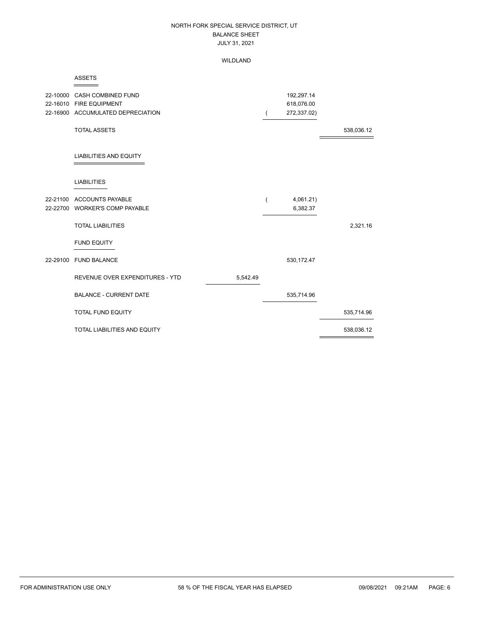WILDLAND

| <b>ASSETS</b>                                                                               |          |                |                                         |            |
|---------------------------------------------------------------------------------------------|----------|----------------|-----------------------------------------|------------|
| 22-10000 CASH COMBINED FUND<br>22-16010 FIRE EQUIPMENT<br>22-16900 ACCUMULATED DEPRECIATION |          | (              | 192,297.14<br>618,076.00<br>272,337.02) |            |
| <b>TOTAL ASSETS</b>                                                                         |          |                |                                         | 538,036.12 |
| <b>LIABILITIES AND EQUITY</b>                                                               |          |                |                                         |            |
| <b>LIABILITIES</b>                                                                          |          |                |                                         |            |
| 22-21100 ACCOUNTS PAYABLE<br>22-22700 WORKER'S COMP PAYABLE                                 |          | $\overline{(}$ | 4,061.21)<br>6,382.37                   |            |
| <b>TOTAL LIABILITIES</b>                                                                    |          |                |                                         | 2,321.16   |
| <b>FUND EQUITY</b>                                                                          |          |                |                                         |            |
| 22-29100 FUND BALANCE                                                                       |          |                | 530, 172.47                             |            |
| REVENUE OVER EXPENDITURES - YTD                                                             | 5,542.49 |                |                                         |            |
| <b>BALANCE - CURRENT DATE</b>                                                               |          |                | 535,714.96                              |            |
| <b>TOTAL FUND EQUITY</b>                                                                    |          |                |                                         | 535,714.96 |
| <b>TOTAL LIABILITIES AND EQUITY</b>                                                         |          |                |                                         | 538,036.12 |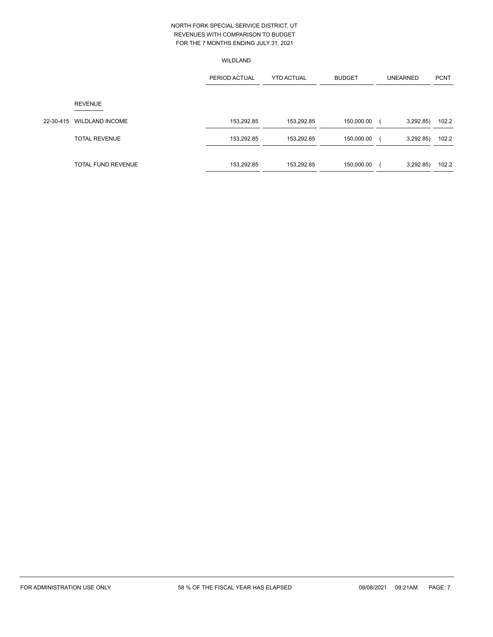|           |                           | <b>WILDLAND</b> |                   |               |                 |             |
|-----------|---------------------------|-----------------|-------------------|---------------|-----------------|-------------|
|           |                           | PERIOD ACTUAL   | <b>YTD ACTUAL</b> | <b>BUDGET</b> | <b>UNEARNED</b> | <b>PCNT</b> |
|           | <b>REVENUE</b>            |                 |                   |               |                 |             |
| 22-30-415 | <b>WILDLAND INCOME</b>    | 153,292.85      | 153,292.85        | 150,000.00    | 3,292.85        | 102.2       |
|           | <b>TOTAL REVENUE</b>      | 153,292.85      | 153,292.85        | 150,000.00    | 3,292.85        | 102.2       |
|           | <b>TOTAL FUND REVENUE</b> | 153,292.85      | 153,292.85        | 150,000.00    | 3,292.85        | 102.2       |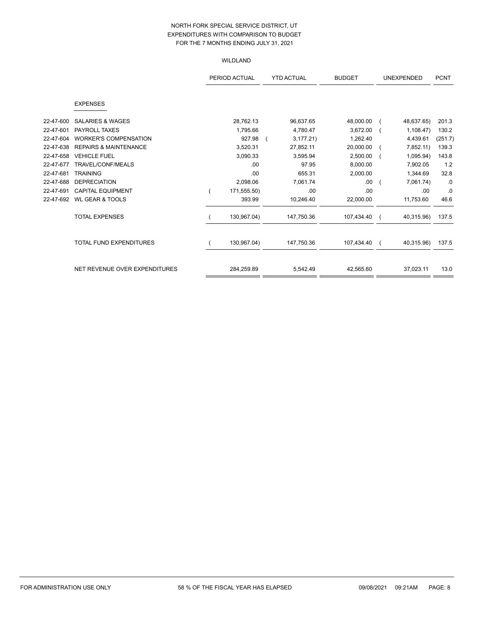|           |                                  | <b>WILDLAND</b> |                   |               |            |            |             |
|-----------|----------------------------------|-----------------|-------------------|---------------|------------|------------|-------------|
|           |                                  | PERIOD ACTUAL   | <b>YTD ACTUAL</b> | <b>BUDGET</b> |            | UNEXPENDED | <b>PCNT</b> |
|           | <b>EXPENSES</b>                  |                 |                   |               |            |            |             |
| 22-47-600 | <b>SALARIES &amp; WAGES</b>      | 28,762.13       | 96,637.65         | 48,000.00     |            | 48,637.65) | 201.3       |
| 22-47-601 | PAYROLL TAXES                    | 1,795.66        | 4,780.47          | 3,672.00      |            | 1,108.47   | 130.2       |
| 22-47-604 | <b>WORKER'S COMPENSATION</b>     | 927.98          | 3,177.21          | 1,262.40      |            | 4,439.61   | (251.7)     |
| 22-47-638 | <b>REPAIRS &amp; MAINTENANCE</b> | 3,520.31        | 27,852.11         | 20,000.00     |            | 7,852.11)  | 139.3       |
| 22-47-658 | <b>VEHICLE FUEL</b>              | 3,090.33        | 3,595.94          | 2,500.00      |            | 1,095.94)  | 143.8       |
| 22-47-677 | TRAVEL/CONF/MEALS                | .00             | 97.95             | 8.000.00      |            | 7,902.05   | 1.2         |
| 22-47-681 | <b>TRAINING</b>                  | .00             | 655.31            | 2,000.00      |            | 1,344.69   | 32.8        |
| 22-47-688 | <b>DEPRECIATION</b>              | 2,098.06        | 7,061.74          | .00.          | $\left($   | 7,061.74)  | .0          |
| 22-47-691 | <b>CAPITAL EQUIPMENT</b>         | 171,555.50)     | .00               | .00           |            | .00        | .0          |
| 22-47-692 | <b>WL GEAR &amp; TOOLS</b>       | 393.99          | 10,246.40         | 22,000.00     |            | 11,753.60  | 46.6        |
|           | <b>TOTAL EXPENSES</b>            | 130,967.04)     | 147,750.36        | 107,434.40    | $\sqrt{2}$ | 40,315.96) | 137.5       |
|           | TOTAL FUND EXPENDITURES          | 130,967.04)     | 147,750.36        | 107,434.40    | $\sqrt{2}$ | 40,315.96) | 137.5       |
|           | NET REVENUE OVER EXPENDITURES    | 284,259.89      | 5,542.49          | 42,565.60     |            | 37,023.11  | 13.0        |
|           |                                  |                 |                   |               |            |            |             |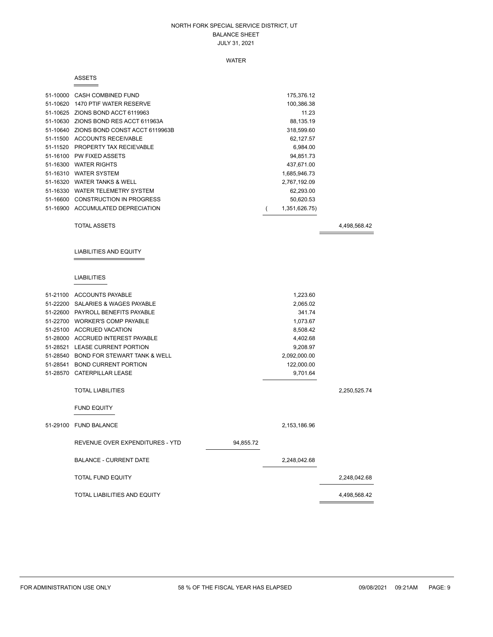WATER

#### ASSETS

 $\equiv$ 

| 51-10000 CASH COMBINED FUND             |           |                | 175,376.12    |              |
|-----------------------------------------|-----------|----------------|---------------|--------------|
| 51-10620 1470 PTIF WATER RESERVE        |           |                | 100,386.38    |              |
| 51-10625 ZIONS BOND ACCT 6119963        |           |                | 11.23         |              |
| 51-10630 ZIONS BOND RES ACCT 611963A    |           |                | 88,135.19     |              |
| 51-10640 ZIONS BOND CONST ACCT 6119963B |           |                | 318,599.60    |              |
| 51-11500 ACCOUNTS RECEIVABLE            |           |                |               |              |
|                                         |           |                | 62,127.57     |              |
| 51-11520 PROPERTY TAX RECIEVABLE        |           |                | 6,984.00      |              |
| 51-16100 PW FIXED ASSETS                |           |                | 94,851.73     |              |
| 51-16300 WATER RIGHTS                   |           |                | 437,671.00    |              |
| 51-16310 WATER SYSTEM                   |           |                | 1,685,946.73  |              |
| 51-16320 WATER TANKS & WELL             |           |                | 2,767,192.09  |              |
| 51-16330 WATER TELEMETRY SYSTEM         |           |                | 62,293.00     |              |
| 51-16600 CONSTRUCTION IN PROGRESS       |           |                | 50,620.53     |              |
| 51-16900 ACCUMULATED DEPRECIATION       |           | $\overline{(}$ | 1,351,626.75) |              |
| <b>TOTAL ASSETS</b>                     |           |                |               | 4,498,568.42 |
| <b>LIABILITIES AND EQUITY</b>           |           |                |               |              |
| <b>LIABILITIES</b>                      |           |                |               |              |
| 51-21100 ACCOUNTS PAYABLE               |           |                | 1,223.60      |              |
| 51-22200 SALARIES & WAGES PAYABLE       |           |                | 2,065.02      |              |
| 51-22600 PAYROLL BENEFITS PAYABLE       |           |                | 341.74        |              |
| 51-22700 WORKER'S COMP PAYABLE          |           |                | 1,073.67      |              |
| 51-25100 ACCRUED VACATION               |           |                | 8,508.42      |              |
| 51-28000 ACCRUED INTEREST PAYABLE       |           |                | 4,402.68      |              |
| 51-28521 LEASE CURRENT PORTION          |           |                | 9,208.97      |              |
| 51-28540 BOND FOR STEWART TANK & WELL   |           |                |               |              |
|                                         |           |                | 2,092,000.00  |              |
| 51-28541 BOND CURRENT PORTION           |           |                | 122,000.00    |              |
| 51-28570 CATERPILLAR LEASE              |           |                | 9,701.64      |              |
| <b>TOTAL LIABILITIES</b>                |           |                |               | 2,250,525.74 |
| <b>FUND EQUITY</b>                      |           |                |               |              |
| 51-29100 FUND BALANCE                   |           |                | 2,153,186.96  |              |
| REVENUE OVER EXPENDITURES - YTD         | 94,855.72 |                |               |              |
| <b>BALANCE - CURRENT DATE</b>           |           |                | 2,248,042.68  |              |
| <b>TOTAL FUND EQUITY</b>                |           |                |               | 2,248,042.68 |
| <b>TOTAL LIABILITIES AND EQUITY</b>     |           |                |               | 4,498,568.42 |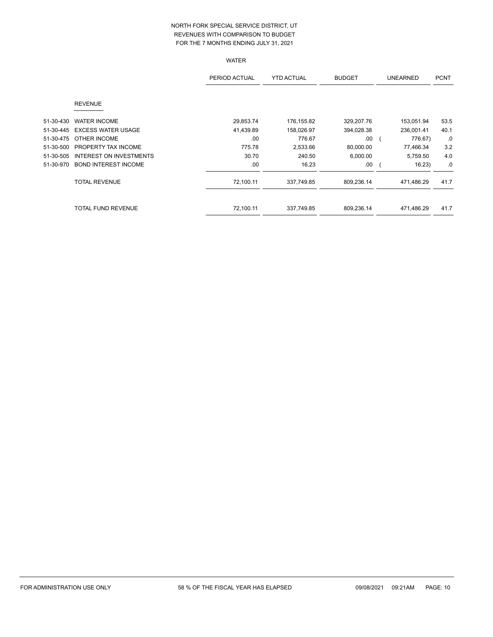|           |                                | <b>WATER</b>  |                   |               |                 |             |
|-----------|--------------------------------|---------------|-------------------|---------------|-----------------|-------------|
|           |                                | PERIOD ACTUAL | <b>YTD ACTUAL</b> | <b>BUDGET</b> | <b>UNEARNED</b> | <b>PCNT</b> |
|           |                                |               |                   |               |                 |             |
|           | <b>REVENUE</b>                 |               |                   |               |                 |             |
| 51-30-430 | <b>WATER INCOME</b>            | 29,853.74     | 176,155.82        | 329,207.76    | 153,051.94      | 53.5        |
| 51-30-445 | <b>EXCESS WATER USAGE</b>      | 41,439.89     | 158,026.97        | 394,028.38    | 236,001.41      | 40.1        |
| 51-30-475 | OTHER INCOME                   | .00           | 776.67            | .00.          | 776.67)         | .0          |
| 51-30-500 | PROPERTY TAX INCOME            | 775.78        | 2,533.66          | 80,000.00     | 77,466.34       | 3.2         |
| 51-30-505 | <b>INTEREST ON INVESTMENTS</b> | 30.70         | 240.50            | 6,000.00      | 5,759.50        | 4.0         |
| 51-30-970 | <b>BOND INTEREST INCOME</b>    | .00           | 16.23             | .00.          | 16.23)          | .0          |
|           | <b>TOTAL REVENUE</b>           | 72,100.11     | 337,749.85        | 809,236.14    | 471,486.29      | 41.7        |
|           | <b>TOTAL FUND REVENUE</b>      | 72,100.11     | 337,749.85        | 809,236.14    | 471,486.29      | 41.7        |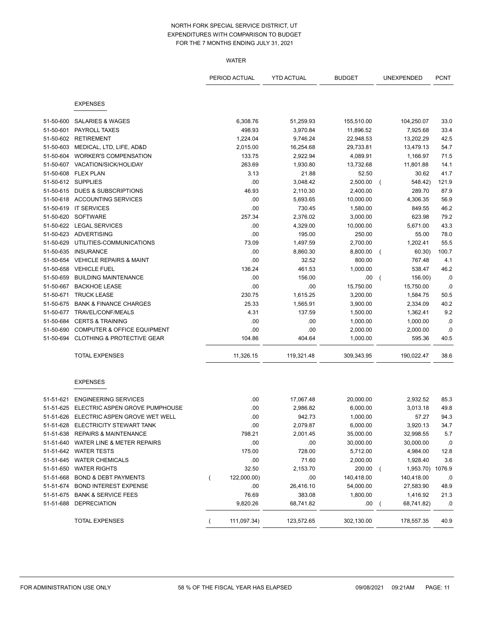WATER

|           |                                        | PERIOD ACTUAL                 | <b>YTD ACTUAL</b> | <b>BUDGET</b> | UNEXPENDED                         | <b>PCNT</b> |
|-----------|----------------------------------------|-------------------------------|-------------------|---------------|------------------------------------|-------------|
|           |                                        |                               |                   |               |                                    |             |
|           | <b>EXPENSES</b>                        |                               |                   |               |                                    |             |
| 51-50-600 | <b>SALARIES &amp; WAGES</b>            | 6,308.76                      | 51,259.93         | 155,510.00    | 104,250.07                         | 33.0        |
| 51-50-601 | PAYROLL TAXES                          | 498.93                        | 3,970.84          | 11,896.52     | 7,925.68                           | 33.4        |
| 51-50-602 | <b>RETIREMENT</b>                      | 1,224.04                      | 9,746.24          | 22,948.53     | 13,202.29                          | 42.5        |
| 51-50-603 | MEDICAL, LTD, LIFE, AD&D               | 2,015.00                      | 16,254.68         | 29,733.81     | 13,479.13                          | 54.7        |
| 51-50-604 | <b>WORKER'S COMPENSATION</b>           | 133.75                        | 2,922.94          | 4,089.91      | 1,166.97                           | 71.5        |
| 51-50-607 | VACATION/SICK/HOLIDAY                  | 263.69                        | 1,930.80          | 13,732.68     | 11,801.88                          | 14.1        |
| 51-50-608 | <b>FLEX PLAN</b>                       | 3.13                          | 21.88             | 52.50         | 30.62                              | 41.7        |
| 51-50-612 | <b>SUPPLIES</b>                        | .00                           | 3,048.42          | 2,500.00      | 548.42)<br>$\overline{ }$          | 121.9       |
| 51-50-615 | <b>DUES &amp; SUBSCRIPTIONS</b>        | 46.93                         | 2,110.30          | 2,400.00      | 289.70                             | 87.9        |
| 51-50-618 | <b>ACCOUNTING SERVICES</b>             | .00                           | 5,693.65          | 10,000.00     | 4,306.35                           | 56.9        |
| 51-50-619 | <b>IT SERVICES</b>                     | .00                           | 730.45            | 1,580.00      | 849.55                             | 46.2        |
| 51-50-620 | SOFTWARE                               | 257.34                        | 2,376.02          | 3,000.00      | 623.98                             | 79.2        |
| 51-50-622 | <b>LEGAL SERVICES</b>                  | .00                           | 4,329.00          | 10,000.00     | 5,671.00                           | 43.3        |
| 51-50-623 | ADVERTISING                            | .00                           | 195.00            | 250.00        | 55.00                              | 78.0        |
| 51-50-629 | UTILITIES-COMMUNICATIONS               | 73.09                         | 1,497.59          | 2,700.00      | 1,202.41                           | 55.5        |
| 51-50-635 | <b>INSURANCE</b>                       | .00                           | 8,860.30          | 8,800.00      | 60.30)<br>$\overline{ }$           | 100.7       |
| 51-50-654 | <b>VEHICLE REPAIRS &amp; MAINT</b>     | .00                           | 32.52             | 800.00        | 767.48                             | 4.1         |
| 51-50-658 | <b>VEHICLE FUEL</b>                    | 136.24                        | 461.53            | 1,000.00      | 538.47                             | 46.2        |
| 51-50-659 | <b>BUILDING MAINTENANCE</b>            | .00                           | 156.00            | .00           | 156.00)                            | .0          |
| 51-50-667 | <b>BACKHOE LEASE</b>                   | .00                           | .00               | 15,750.00     | 15,750.00                          | .0          |
| 51-50-671 | <b>TRUCK LEASE</b>                     | 230.75                        | 1,615.25          | 3,200.00      | 1,584.75                           | 50.5        |
| 51-50-675 | <b>BANK &amp; FINANCE CHARGES</b>      | 25.33                         | 1,565.91          | 3,900.00      | 2,334.09                           | 40.2        |
| 51-50-677 | TRAVEL/CONF/MEALS                      | 4.31                          | 137.59            | 1,500.00      | 1,362.41                           | 9.2         |
| 51-50-684 | <b>CERTS &amp; TRAINING</b>            | .00                           | .00               | 1,000.00      | 1,000.00                           | .0          |
| 51-50-690 | <b>COMPUTER &amp; OFFICE EQUIPMENT</b> | .00                           | .00               | 2,000.00      | 2,000.00                           | .0          |
| 51-50-694 | CLOTHING & PROTECTIVE GEAR             | 104.86                        | 404.64            | 1,000.00      | 595.36                             | 40.5        |
|           | <b>TOTAL EXPENSES</b>                  | 11,326.15                     | 119,321.48        | 309,343.95    | 190,022.47                         | 38.6        |
|           | <b>EXPENSES</b>                        |                               |                   |               |                                    |             |
| 51-51-621 | <b>ENGINEERING SERVICES</b>            | .00                           | 17,067.48         | 20,000.00     | 2,932.52                           | 85.3        |
| 51-51-625 | ELECTRIC ASPEN GROVE PUMPHOUSE         | .00                           | 2,986.82          | 6,000.00      | 3,013.18                           | 49.8        |
| 51-51-626 | ELECTRIC ASPEN GROVE WET WELL          | .00                           | 942.73            | 1,000.00      | 57.27                              | 94.3        |
| 51-51-628 | <b>ELECTRICITY STEWART TANK</b>        | .00                           | 2,079.87          | 6,000.00      | 3,920.13                           | 34.7        |
|           | 51-51-638 REPAIRS & MAINTENANCE        | 798.21                        | 2,001.45          | 35,000.00     | 32,998.55                          | 5.7         |
|           | 51-51-640 WATER LINE & METER REPAIRS   | .00                           | .00               | 30,000.00     | 30,000.00                          | .0          |
|           | 51-51-642 WATER TESTS                  | 175.00                        | 728.00            | 5,712.00      | 4,984.00                           | 12.8        |
|           | 51-51-645 WATER CHEMICALS              | .00                           | 71.60             | 2,000.00      | 1,928.40                           | 3.6         |
|           | 51-51-650 WATER RIGHTS                 | 32.50                         | 2,153.70          | 200.00        | 1,953.70) 1076.9<br>$\overline{ }$ |             |
|           | 51-51-668 BOND & DEBT PAYMENTS         | 122,000.00)<br>$\overline{ }$ | .00               | 140,418.00    | 140,418.00                         | .0          |
| 51-51-674 | <b>BOND INTEREST EXPENSE</b>           | .00                           | 26,416.10         | 54,000.00     | 27,583.90                          | 48.9        |
|           | 51-51-675 BANK & SERVICE FEES          | 76.69                         | 383.08            | 1,800.00      | 1,416.92                           | 21.3        |

51-51-688 DEPRECIATION 9,820.26 68,741.82 .00 ( 68,741.82) .0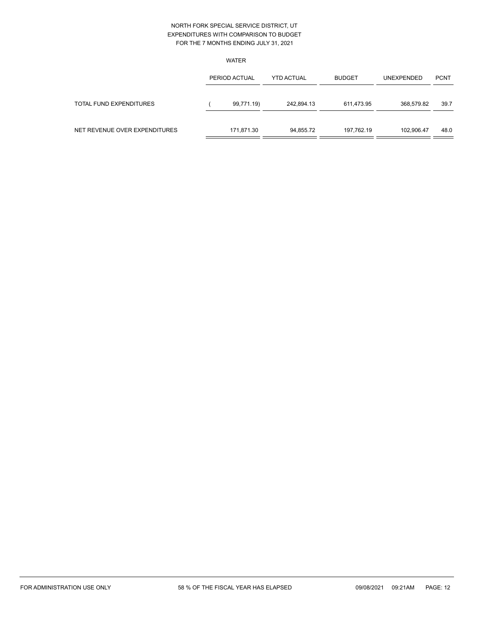|                                | <b>WATER</b>  |                   |               |                   |             |
|--------------------------------|---------------|-------------------|---------------|-------------------|-------------|
|                                | PERIOD ACTUAL | <b>YTD ACTUAL</b> | <b>BUDGET</b> | <b>UNEXPENDED</b> | <b>PCNT</b> |
| <b>TOTAL FUND EXPENDITURES</b> | 99,771.19)    | 242,894.13        | 611,473.95    | 368,579.82        | 39.7        |
| NET REVENUE OVER EXPENDITURES  | 171,871.30    | 94,855.72         | 197,762.19    | 102,906.47        | 48.0        |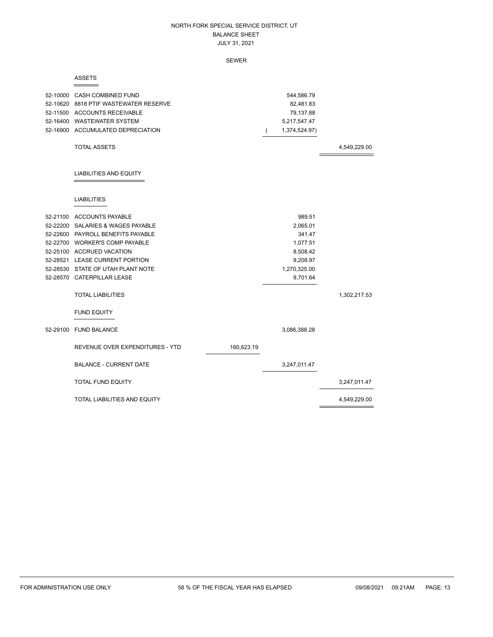SEWER

| . .<br>c | ۰ |
|----------|---|
|----------|---|

|          | 52-10000 CASH COMBINED FUND<br>52-10620 8818 PTIF WASTEWATER RESERVE<br>52-11500 ACCOUNTS RECEIVABLE<br>52-16400 WASTEWATER SYSTEM<br>52-16900 ACCUMULATED DEPRECIATION<br><b>TOTAL ASSETS</b> |            | $\left($ | 544,586.79<br>82,481.83<br>79,137.88<br>5,217,547.47<br>1,374,524.97) | 4,549,229.00 |
|----------|------------------------------------------------------------------------------------------------------------------------------------------------------------------------------------------------|------------|----------|-----------------------------------------------------------------------|--------------|
|          |                                                                                                                                                                                                |            |          |                                                                       |              |
|          | LIABILITIES AND EQUITY                                                                                                                                                                         |            |          |                                                                       |              |
|          | <b>LIABILITIES</b>                                                                                                                                                                             |            |          |                                                                       |              |
|          | 52-21100 ACCOUNTS PAYABLE                                                                                                                                                                      |            |          | 989.51                                                                |              |
|          | 52-22200 SALARIES & WAGES PAYABLE                                                                                                                                                              |            |          | 2,065.01                                                              |              |
|          | 52-22600 PAYROLL BENEFITS PAYABLE                                                                                                                                                              |            |          | 341.47                                                                |              |
|          | 52-22700 WORKER'S COMP PAYABLE                                                                                                                                                                 |            |          | 1,077.51                                                              |              |
|          | 52-25100 ACCRUED VACATION                                                                                                                                                                      |            |          | 8,508.42                                                              |              |
|          | 52-28521 LEASE CURRENT PORTION                                                                                                                                                                 |            |          | 9,208.97                                                              |              |
|          | 52-28530 STATE OF UTAH PLANT NOTE                                                                                                                                                              |            |          | 1,270,325.00                                                          |              |
|          | 52-28570 CATERPILLAR LEASE                                                                                                                                                                     |            |          | 9,701.64                                                              |              |
|          | <b>TOTAL LIABILITIES</b>                                                                                                                                                                       |            |          |                                                                       | 1,302,217.53 |
|          | <b>FUND EQUITY</b>                                                                                                                                                                             |            |          |                                                                       |              |
| 52-29100 | <b>FUND BALANCE</b>                                                                                                                                                                            |            |          | 3,086,388.28                                                          |              |
|          | REVENUE OVER EXPENDITURES - YTD                                                                                                                                                                | 160,623.19 |          |                                                                       |              |
|          | <b>BALANCE - CURRENT DATE</b>                                                                                                                                                                  |            |          | 3,247,011.47                                                          |              |
|          | <b>TOTAL FUND EQUITY</b>                                                                                                                                                                       |            |          |                                                                       | 3,247,011.47 |
|          | TOTAL LIABILITIES AND EQUITY                                                                                                                                                                   |            |          |                                                                       | 4,549,229.00 |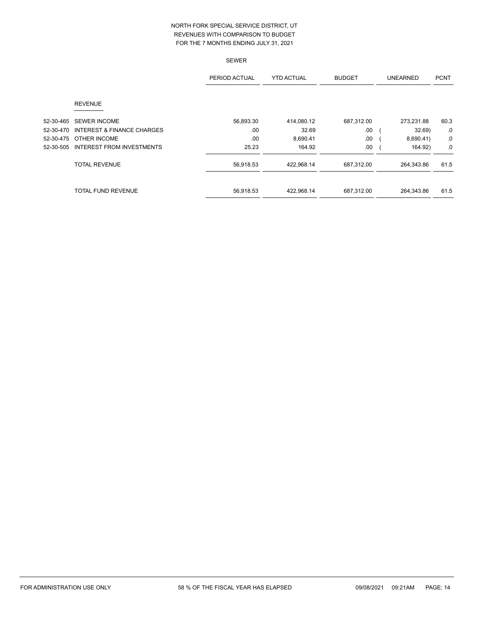|           |                                       | <b>SEWER</b>  |                   |               |                 |             |
|-----------|---------------------------------------|---------------|-------------------|---------------|-----------------|-------------|
|           |                                       | PERIOD ACTUAL | <b>YTD ACTUAL</b> | <b>BUDGET</b> | <b>UNEARNED</b> | <b>PCNT</b> |
|           | <b>REVENUE</b>                        |               |                   |               |                 |             |
| 52-30-465 | <b>SEWER INCOME</b>                   | 56,893.30     | 414,080.12        | 687,312.00    | 273,231.88      | 60.3        |
| 52-30-470 | <b>INTEREST &amp; FINANCE CHARGES</b> | .00           | 32.69             | .00.          | 32.69           | .0          |
| 52-30-475 | <b>OTHER INCOME</b>                   | .00           | 8,690.41          | .00.          | 8,690.41)       | .0          |
| 52-30-505 | <b>INTEREST FROM INVESTMENTS</b>      | 25.23         | 164.92            | .00           | 164.92)         | .0          |
|           | <b>TOTAL REVENUE</b>                  | 56,918.53     | 422,968.14        | 687,312.00    | 264,343.86      | 61.5        |
|           | <b>TOTAL FUND REVENUE</b>             | 56,918.53     | 422,968.14        | 687,312.00    | 264.343.86      | 61.5        |
|           |                                       |               |                   |               |                 |             |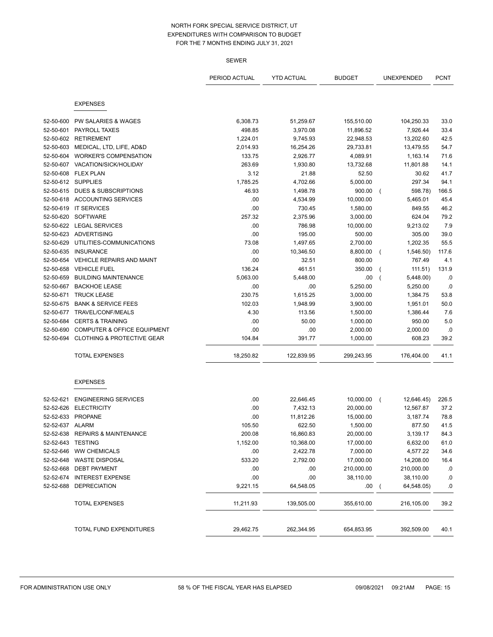|                 |                                       | <b>SEWER</b>  |                   |               |                              |             |
|-----------------|---------------------------------------|---------------|-------------------|---------------|------------------------------|-------------|
|                 |                                       | PERIOD ACTUAL | <b>YTD ACTUAL</b> | <b>BUDGET</b> | UNEXPENDED                   | <b>PCNT</b> |
|                 | <b>EXPENSES</b>                       |               |                   |               |                              |             |
| 52-50-600       | PW SALARIES & WAGES                   | 6,308.73      | 51,259.67         | 155,510.00    | 104,250.33                   | 33.0        |
| 52-50-601       | PAYROLL TAXES                         | 498.85        | 3,970.08          | 11,896.52     | 7,926.44                     | 33.4        |
| 52-50-602       | <b>RETIREMENT</b>                     | 1,224.01      | 9,745.93          | 22,948.53     | 13,202.60                    | 42.5        |
| 52-50-603       | MEDICAL, LTD, LIFE, AD&D              | 2,014.93      | 16,254.26         | 29,733.81     | 13,479.55                    | 54.7        |
| 52-50-604       | <b>WORKER'S COMPENSATION</b>          | 133.75        | 2,926.77          | 4,089.91      | 1,163.14                     | 71.6        |
| 52-50-607       | VACATION/SICK/HOLIDAY                 | 263.69        | 1,930.80          | 13,732.68     | 11,801.88                    | 14.1        |
| 52-50-608       | <b>FLEX PLAN</b>                      | 3.12          | 21.88             | 52.50         | 30.62                        | 41.7        |
|                 | 52-50-612 SUPPLIES                    | 1,785.25      | 4,702.66          | 5,000.00      | 297.34                       | 94.1        |
| 52-50-615       | DUES & SUBSCRIPTIONS                  | 46.93         | 1,498.78          | 900.00        | 598.78)<br>$\overline{ }$    | 166.5       |
| 52-50-618       | ACCOUNTING SERVICES                   | .00           | 4,534.99          | 10,000.00     | 5,465.01                     | 45.4        |
| 52-50-619       | <b>IT SERVICES</b>                    | .00           | 730.45            | 1,580.00      | 849.55                       | 46.2        |
| 52-50-620       | <b>SOFTWARE</b>                       | 257.32        | 2,375.96          | 3,000.00      | 624.04                       | 79.2        |
| 52-50-622       | <b>LEGAL SERVICES</b>                 | .00           | 786.98            | 10,000.00     | 9,213.02                     | 7.9         |
| 52-50-623       | ADVERTISING                           | .00           | 195.00            | 500.00        | 305.00                       | 39.0        |
| 52-50-629       | UTILITIES-COMMUNICATIONS              | 73.08         | 1,497.65          | 2,700.00      | 1,202.35                     | 55.5        |
| 52-50-635       | <b>INSURANCE</b>                      | .00           | 10,346.50         | 8,800.00      | 1,546.50)<br>$\overline{ }$  | 117.6       |
| 52-50-654       | VEHICLE REPAIRS AND MAINT             | .00           | 32.51             | 800.00        | 767.49                       | 4.1         |
| 52-50-658       | <b>VEHICLE FUEL</b>                   | 136.24        | 461.51            | 350.00        | 111.51)                      | 131.9       |
| 52-50-659       | <b>BUILDING MAINTENANCE</b>           | 5,063.00      | 5,448.00          | .00           | 5,448.00)<br>$\overline{ }$  | .0          |
| 52-50-667       | <b>BACKHOE LEASE</b>                  | .00           | .00               | 5,250.00      | 5,250.00                     | .0          |
| 52-50-671       | <b>TRUCK LEASE</b>                    | 230.75        | 1,615.25          | 3,000.00      | 1,384.75                     | 53.8        |
| 52-50-675       | <b>BANK &amp; SERVICE FEES</b>        | 102.03        | 1,948.99          | 3,900.00      | 1,951.01                     | 50.0        |
| 52-50-677       | TRAVEL/CONF/MEALS                     | 4.30          | 113.56            | 1,500.00      | 1,386.44                     | 7.6         |
| 52-50-684       | <b>CERTS &amp; TRAINING</b>           | .00           | 50.00             | 1,000.00      | 950.00                       | 5.0         |
| 52-50-690       | COMPUTER & OFFICE EQUIPMENT           | .00           | .00               | 2,000.00      | 2,000.00                     | .0          |
| 52-50-694       | <b>CLOTHING &amp; PROTECTIVE GEAR</b> | 104.84        | 391.77            | 1,000.00      | 608.23                       | 39.2        |
|                 | <b>TOTAL EXPENSES</b>                 | 18,250.82     | 122,839.95        | 299,243.95    | 176,404.00                   | 41.1        |
|                 | <b>EXPENSES</b>                       |               |                   |               |                              |             |
| 52-52-621       | <b>ENGINEERING SERVICES</b>           | .00           | 22,646.45         | 10,000.00     | 12,646.45)<br>$\overline{ }$ | 226.5       |
| 52-52-626       | <b>ELECTRICITY</b>                    | .00           | 7,432.13          | 20,000.00     | 12,567.87                    | 37.2        |
|                 | 52-52-633 PROPANE                     | .00           | 11,812.26         | 15,000.00     | 3,187.74                     | 78.8        |
| 52-52-637 ALARM |                                       | 105.50        | 622.50            | 1,500.00      | 877.50                       | 41.5        |
|                 | 52-52-638 REPAIRS & MAINTENANCE       | 200.08        | 16,860.83         | 20,000.00     | 3,139.17                     | 84.3        |
|                 | 52-52-643 TESTING                     | 1,152.00      | 10,368.00         | 17,000.00     | 6,632.00                     | 61.0        |
|                 | 52-52-646 WW CHEMICALS                | .00.          | 2,422.78          | 7,000.00      | 4,577.22                     | 34.6        |
|                 | 52-52-648 WASTE DISPOSAL              | 533.20        | 2,792.00          | 17,000.00     | 14,208.00                    | 16.4        |
|                 | 52-52-668 DEBT PAYMENT                | .00           | .00               | 210,000.00    | 210,000.00                   | .0          |
| 52-52-674       | <b>INTEREST EXPENSE</b>               | .00           | .00               | 38,110.00     | 38,110.00                    | .0          |
|                 | 52-52-688 DEPRECIATION                | 9,221.15      | 64,548.05         | .00.          | 64,548.05)<br>$\sqrt{2}$     | $.0\,$      |
|                 | <b>TOTAL EXPENSES</b>                 | 11,211.93     | 139,505.00        | 355,610.00    | 216,105.00                   | 39.2        |
|                 | TOTAL FUND EXPENDITURES               | 29,462.75     | 262,344.95        | 654,853.95    | 392,509.00                   | 40.1        |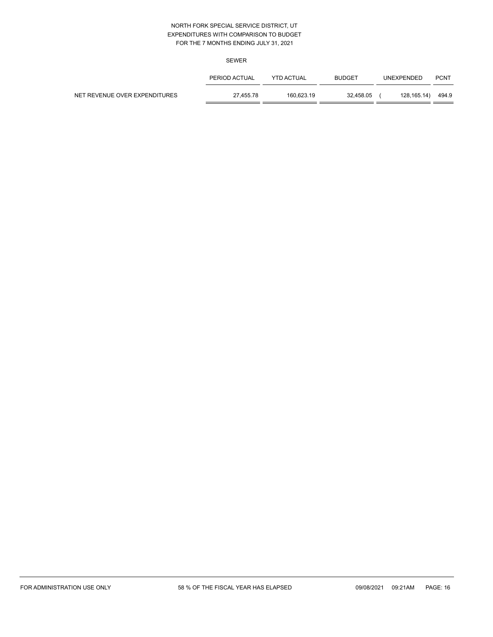SEWER

|                               | PERIOD ACTUAL | <b>YTD ACTUAL</b> | <b>BUDGET</b> | <b>UNEXPENDED</b> | <b>PCNT</b> |
|-------------------------------|---------------|-------------------|---------------|-------------------|-------------|
| NET REVENUE OVER EXPENDITURES | 27.455.78     | 160.623.19        | 32.458.05     | 128,165.14)       | 494.9       |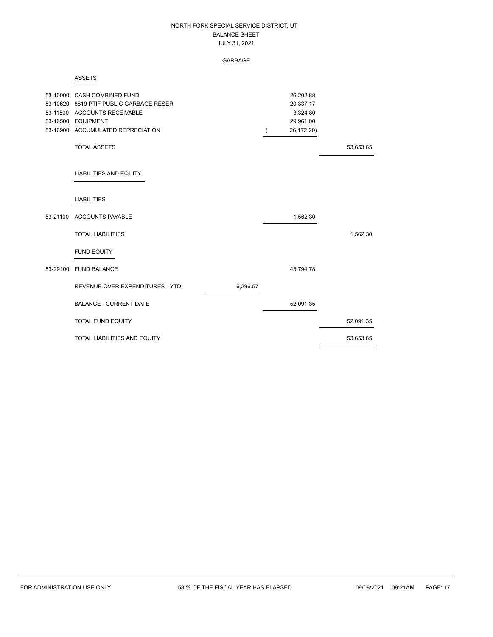GARBAGE

|          | 53-10000 CASH COMBINED FUND             |          | 26,202.88  |           |
|----------|-----------------------------------------|----------|------------|-----------|
|          | 53-10620 8819 PTIF PUBLIC GARBAGE RESER |          | 20,337.17  |           |
|          | 53-11500 ACCOUNTS RECEIVABLE            |          | 3,324.80   |           |
|          | 53-16500 EQUIPMENT                      |          | 29,961.00  |           |
|          | 53-16900 ACCUMULATED DEPRECIATION       |          | 26,172.20) |           |
|          | <b>TOTAL ASSETS</b>                     |          |            | 53,653.65 |
|          |                                         |          |            |           |
|          |                                         |          |            |           |
|          | <b>LIABILITIES AND EQUITY</b>           |          |            |           |
|          |                                         |          |            |           |
|          |                                         |          |            |           |
|          | <b>LIABILITIES</b>                      |          |            |           |
| 53-21100 | <b>ACCOUNTS PAYABLE</b>                 |          | 1,562.30   |           |
|          |                                         |          |            |           |
|          | <b>TOTAL LIABILITIES</b>                |          |            | 1,562.30  |
|          |                                         |          |            |           |
|          | <b>FUND EQUITY</b>                      |          |            |           |
|          |                                         |          |            |           |
| 53-29100 | <b>FUND BALANCE</b>                     |          | 45,794.78  |           |
|          |                                         |          |            |           |
|          | REVENUE OVER EXPENDITURES - YTD         | 6,296.57 |            |           |
|          | <b>BALANCE - CURRENT DATE</b>           |          | 52,091.35  |           |
|          |                                         |          |            |           |
|          | <b>TOTAL FUND EQUITY</b>                |          |            | 52,091.35 |
|          |                                         |          |            |           |
|          | TOTAL LIABILITIES AND EQUITY            |          |            | 53,653.65 |
|          |                                         |          |            |           |

ASSETS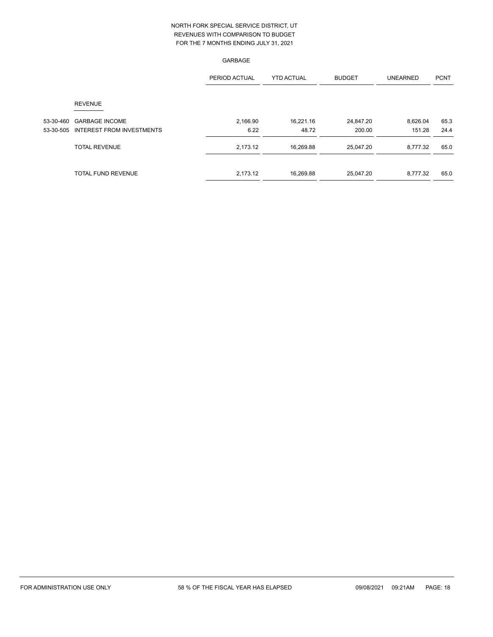|                        |                                                           | <b>GARBAGE</b>   |                    |                     |                    |              |
|------------------------|-----------------------------------------------------------|------------------|--------------------|---------------------|--------------------|--------------|
|                        |                                                           | PERIOD ACTUAL    | <b>YTD ACTUAL</b>  | <b>BUDGET</b>       | <b>UNEARNED</b>    | <b>PCNT</b>  |
|                        | <b>REVENUE</b>                                            |                  |                    |                     |                    |              |
| 53-30-460<br>53-30-505 | <b>GARBAGE INCOME</b><br><b>INTEREST FROM INVESTMENTS</b> | 2,166.90<br>6.22 | 16,221.16<br>48.72 | 24,847.20<br>200.00 | 8,626.04<br>151.28 | 65.3<br>24.4 |
|                        | <b>TOTAL REVENUE</b>                                      | 2,173.12         | 16,269.88          | 25,047.20           | 8,777.32           | 65.0         |
|                        | <b>TOTAL FUND REVENUE</b>                                 | 2,173.12         | 16,269.88          | 25,047.20           | 8,777.32           | 65.0         |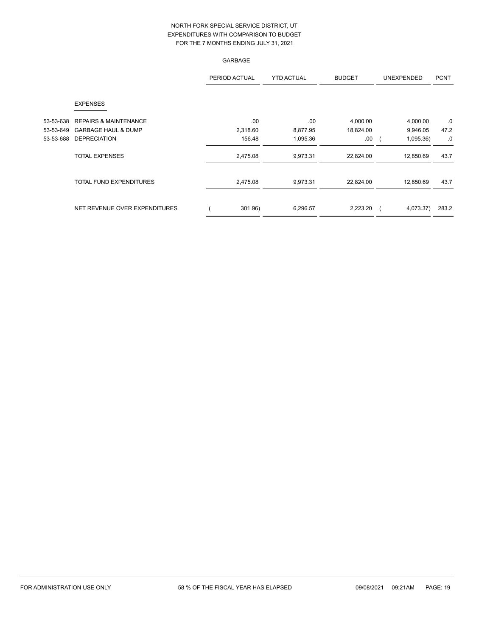|           |                                  | <b>GARBAGE</b> |                   |               |                   |             |
|-----------|----------------------------------|----------------|-------------------|---------------|-------------------|-------------|
|           |                                  | PERIOD ACTUAL  | <b>YTD ACTUAL</b> | <b>BUDGET</b> | <b>UNEXPENDED</b> | <b>PCNT</b> |
|           | <b>EXPENSES</b>                  |                |                   |               |                   |             |
| 53-53-638 | <b>REPAIRS &amp; MAINTENANCE</b> | .00            | .00               | 4,000.00      | 4,000.00          | .0          |
| 53-53-649 | <b>GARBAGE HAUL &amp; DUMP</b>   | 2,318.60       | 8,877.95          | 18,824.00     | 9,946.05          | 47.2        |
| 53-53-688 | <b>DEPRECIATION</b>              | 156.48         | 1,095.36          | .00.          | 1,095.36)         | .0          |
|           | <b>TOTAL EXPENSES</b>            | 2,475.08       | 9,973.31          | 22,824.00     | 12,850.69         | 43.7        |
|           | TOTAL FUND EXPENDITURES          | 2,475.08       | 9,973.31          | 22,824.00     | 12,850.69         | 43.7        |
|           | NET REVENUE OVER EXPENDITURES    | 301.96)        | 6,296.57          | 2,223.20      | 4,073.37)         | 283.2       |